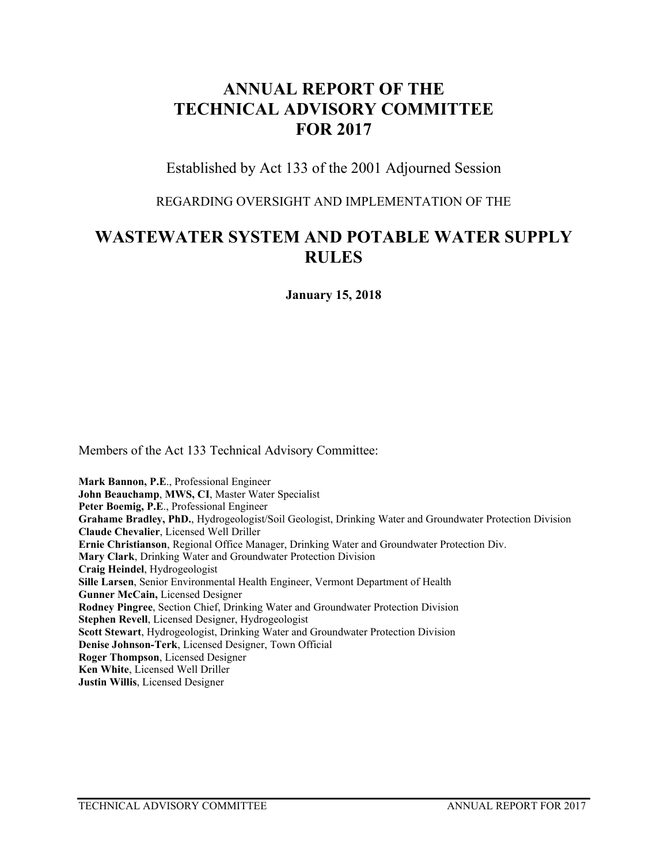## **ANNUAL REPORT OF THE TECHNICAL ADVISORY COMMITTEE FOR 2017**

Established by Act 133 of the 2001 Adjourned Session

REGARDING OVERSIGHT AND IMPLEMENTATION OF THE

## **WASTEWATER SYSTEM AND POTABLE WATER SUPPLY RULES**

**January 15, 2018**

Members of the Act 133 Technical Advisory Committee:

**Mark Bannon, P.E**., Professional Engineer **John Beauchamp**, **MWS, CI**, Master Water Specialist **Peter Boemig, P.E**., Professional Engineer **Grahame Bradley, PhD.**, Hydrogeologist/Soil Geologist, Drinking Water and Groundwater Protection Division **Claude Chevalier**, Licensed Well Driller **Ernie Christianson**, Regional Office Manager, Drinking Water and Groundwater Protection Div. **Mary Clark**, Drinking Water and Groundwater Protection Division **Craig Heindel**, Hydrogeologist **Sille Larsen**, Senior Environmental Health Engineer, Vermont Department of Health **Gunner McCain,** Licensed Designer **Rodney Pingree**, Section Chief, Drinking Water and Groundwater Protection Division **Stephen Revell**, Licensed Designer, Hydrogeologist **Scott Stewart**, Hydrogeologist, Drinking Water and Groundwater Protection Division **Denise Johnson-Terk**, Licensed Designer, Town Official **Roger Thompson**, Licensed Designer **Ken White**, Licensed Well Driller **Justin Willis**, Licensed Designer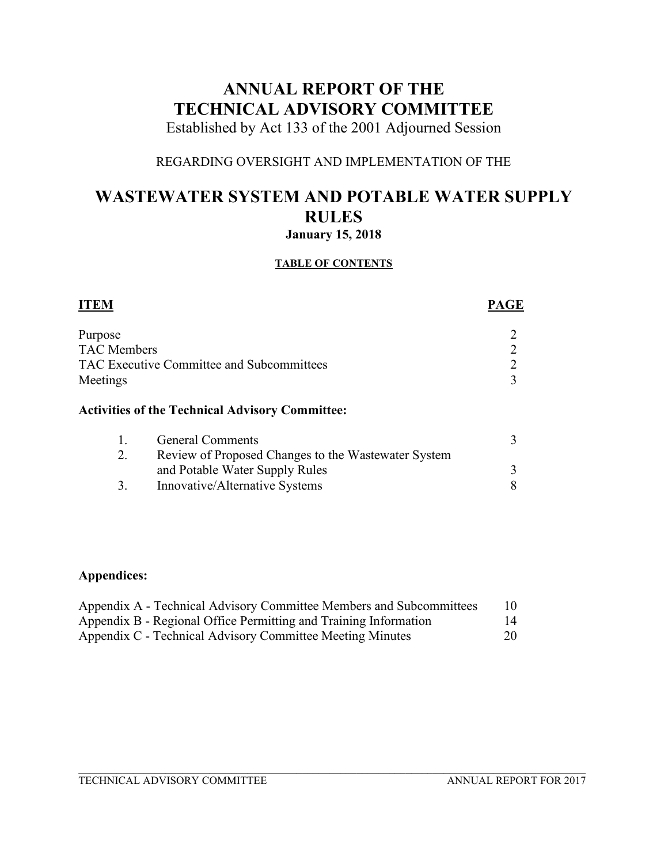# **ANNUAL REPORT OF THE TECHNICAL ADVISORY COMMITTEE**

Established by Act 133 of the 2001 Adjourned Session

## REGARDING OVERSIGHT AND IMPLEMENTATION OF THE

## **WASTEWATER SYSTEM AND POTABLE WATER SUPPLY RULES January 15, 2018**

### **TABLE OF CONTENTS**

| <b>ITEM</b>                                            | <b>PAGE</b> |
|--------------------------------------------------------|-------------|
| Purpose                                                |             |
| <b>TAC Members</b>                                     |             |
| TAC Executive Committee and Subcommittees              |             |
| Meetings                                               |             |
| <b>Activities of the Technical Advisory Committee:</b> |             |

| <b>General Comments</b>                             |  |
|-----------------------------------------------------|--|
| Review of Proposed Changes to the Wastewater System |  |
| and Potable Water Supply Rules                      |  |
| Innovative/Alternative Systems                      |  |

## **Appendices:**

| Appendix A - Technical Advisory Committee Members and Subcommittees | 10. |
|---------------------------------------------------------------------|-----|
| Appendix B - Regional Office Permitting and Training Information    | 14  |
| Appendix C - Technical Advisory Committee Meeting Minutes           | 20  |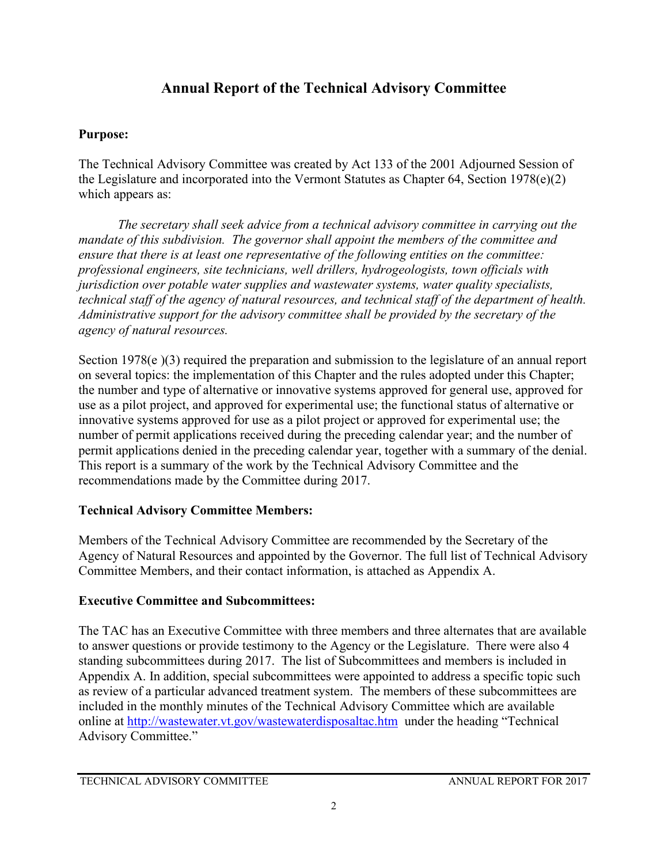## **Annual Report of the Technical Advisory Committee**

## **Purpose:**

The Technical Advisory Committee was created by Act 133 of the 2001 Adjourned Session of the Legislature and incorporated into the Vermont Statutes as Chapter 64, Section 1978(e)(2) which appears as:

*The secretary shall seek advice from a technical advisory committee in carrying out the mandate of this subdivision. The governor shall appoint the members of the committee and ensure that there is at least one representative of the following entities on the committee: professional engineers, site technicians, well drillers, hydrogeologists, town officials with jurisdiction over potable water supplies and wastewater systems, water quality specialists, technical staff of the agency of natural resources, and technical staff of the department of health. Administrative support for the advisory committee shall be provided by the secretary of the agency of natural resources.* 

Section 1978(e)(3) required the preparation and submission to the legislature of an annual report on several topics: the implementation of this Chapter and the rules adopted under this Chapter; the number and type of alternative or innovative systems approved for general use, approved for use as a pilot project, and approved for experimental use; the functional status of alternative or innovative systems approved for use as a pilot project or approved for experimental use; the number of permit applications received during the preceding calendar year; and the number of permit applications denied in the preceding calendar year, together with a summary of the denial. This report is a summary of the work by the Technical Advisory Committee and the recommendations made by the Committee during 2017.

## **Technical Advisory Committee Members:**

Members of the Technical Advisory Committee are recommended by the Secretary of the Agency of Natural Resources and appointed by the Governor. The full list of Technical Advisory Committee Members, and their contact information, is attached as Appendix A.

## **Executive Committee and Subcommittees:**

The TAC has an Executive Committee with three members and three alternates that are available to answer questions or provide testimony to the Agency or the Legislature. There were also 4 standing subcommittees during 2017. The list of Subcommittees and members is included in Appendix A. In addition, special subcommittees were appointed to address a specific topic such as review of a particular advanced treatment system. The members of these subcommittees are included in the monthly minutes of the Technical Advisory Committee which are available online at<http://wastewater.vt.gov/wastewaterdisposaltac.htm>under the heading "Technical Advisory Committee."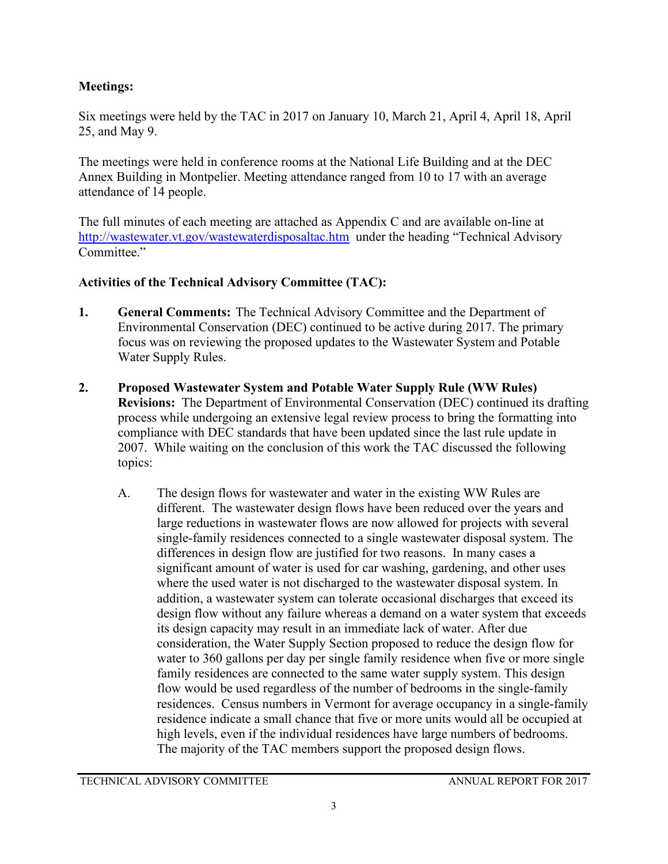## **Meetings:**

Six meetings were held by the TAC in 2017 on January 10, March 21, April 4, April 18, April 25, and May 9.

The meetings were held in conference rooms at the National Life Building and at the DEC Annex Building in Montpelier. Meeting attendance ranged from 10 to 17 with an average attendance of 14 people.

The full minutes of each meeting are attached as Appendix C and are available on-line at <http://wastewater.vt.gov/wastewaterdisposaltac.htm> under the heading "Technical Advisory Committee."

## **Activities of the Technical Advisory Committee (TAC):**

- **1. General Comments:** The Technical Advisory Committee and the Department of Environmental Conservation (DEC) continued to be active during 2017. The primary focus was on reviewing the proposed updates to the Wastewater System and Potable Water Supply Rules.
- **2. Proposed Wastewater System and Potable Water Supply Rule (WW Rules) Revisions:** The Department of Environmental Conservation (DEC) continued its drafting process while undergoing an extensive legal review process to bring the formatting into compliance with DEC standards that have been updated since the last rule update in 2007. While waiting on the conclusion of this work the TAC discussed the following topics:
	- A. The design flows for wastewater and water in the existing WW Rules are different. The wastewater design flows have been reduced over the years and large reductions in wastewater flows are now allowed for projects with several single-family residences connected to a single wastewater disposal system. The differences in design flow are justified for two reasons. In many cases a significant amount of water is used for car washing, gardening, and other uses where the used water is not discharged to the wastewater disposal system. In addition, a wastewater system can tolerate occasional discharges that exceed its design flow without any failure whereas a demand on a water system that exceeds its design capacity may result in an immediate lack of water. After due consideration, the Water Supply Section proposed to reduce the design flow for water to 360 gallons per day per single family residence when five or more single family residences are connected to the same water supply system. This design flow would be used regardless of the number of bedrooms in the single-family residences. Census numbers in Vermont for average occupancy in a single-family residence indicate a small chance that five or more units would all be occupied at high levels, even if the individual residences have large numbers of bedrooms. The majority of the TAC members support the proposed design flows.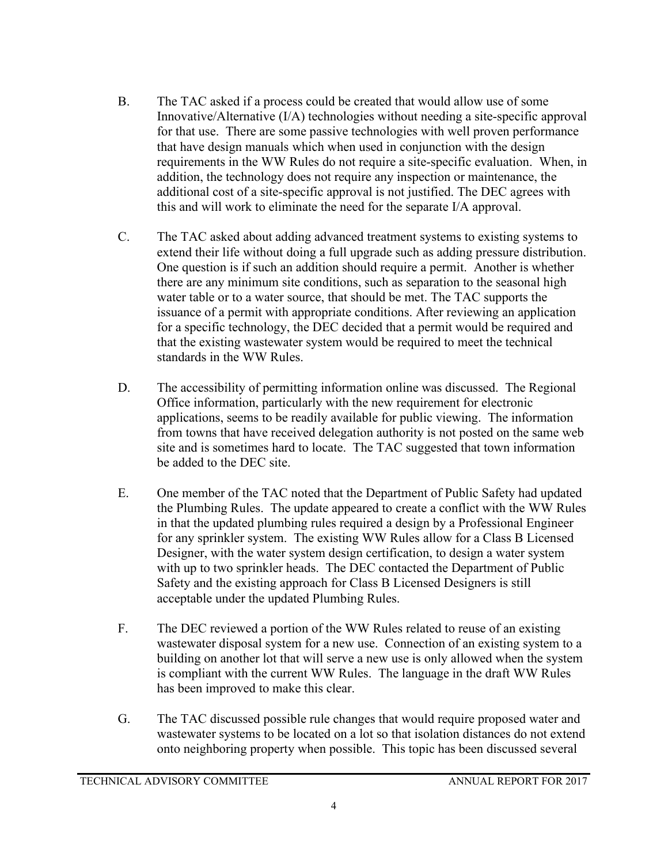- B. The TAC asked if a process could be created that would allow use of some Innovative/Alternative (I/A) technologies without needing a site-specific approval for that use. There are some passive technologies with well proven performance that have design manuals which when used in conjunction with the design requirements in the WW Rules do not require a site-specific evaluation. When, in addition, the technology does not require any inspection or maintenance, the additional cost of a site-specific approval is not justified. The DEC agrees with this and will work to eliminate the need for the separate I/A approval.
- C. The TAC asked about adding advanced treatment systems to existing systems to extend their life without doing a full upgrade such as adding pressure distribution. One question is if such an addition should require a permit. Another is whether there are any minimum site conditions, such as separation to the seasonal high water table or to a water source, that should be met. The TAC supports the issuance of a permit with appropriate conditions. After reviewing an application for a specific technology, the DEC decided that a permit would be required and that the existing wastewater system would be required to meet the technical standards in the WW Rules.
- D. The accessibility of permitting information online was discussed. The Regional Office information, particularly with the new requirement for electronic applications, seems to be readily available for public viewing. The information from towns that have received delegation authority is not posted on the same web site and is sometimes hard to locate. The TAC suggested that town information be added to the DEC site.
- E. One member of the TAC noted that the Department of Public Safety had updated the Plumbing Rules. The update appeared to create a conflict with the WW Rules in that the updated plumbing rules required a design by a Professional Engineer for any sprinkler system. The existing WW Rules allow for a Class B Licensed Designer, with the water system design certification, to design a water system with up to two sprinkler heads. The DEC contacted the Department of Public Safety and the existing approach for Class B Licensed Designers is still acceptable under the updated Plumbing Rules.
- F. The DEC reviewed a portion of the WW Rules related to reuse of an existing wastewater disposal system for a new use. Connection of an existing system to a building on another lot that will serve a new use is only allowed when the system is compliant with the current WW Rules. The language in the draft WW Rules has been improved to make this clear.
- G. The TAC discussed possible rule changes that would require proposed water and wastewater systems to be located on a lot so that isolation distances do not extend onto neighboring property when possible. This topic has been discussed several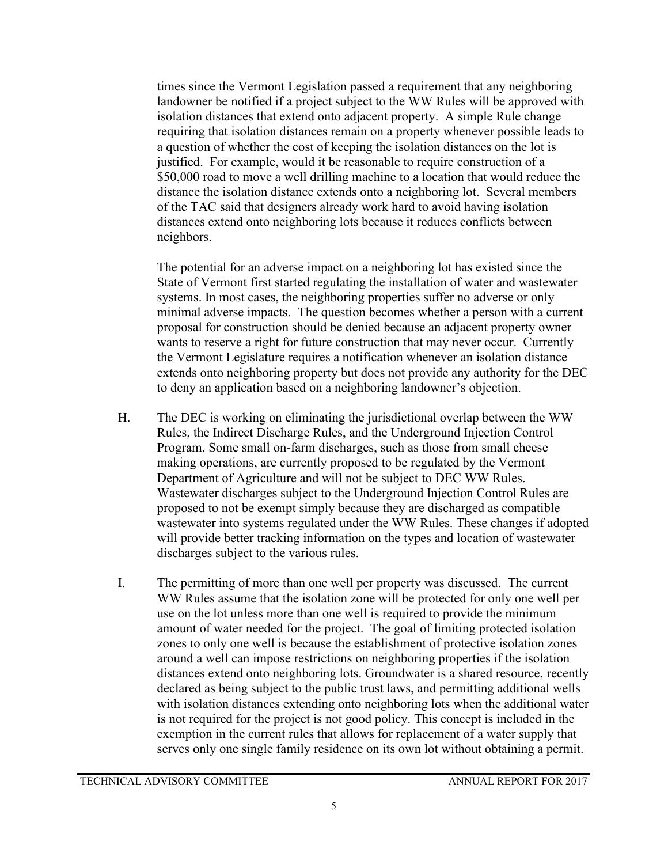times since the Vermont Legislation passed a requirement that any neighboring landowner be notified if a project subject to the WW Rules will be approved with isolation distances that extend onto adjacent property. A simple Rule change requiring that isolation distances remain on a property whenever possible leads to a question of whether the cost of keeping the isolation distances on the lot is justified. For example, would it be reasonable to require construction of a \$50,000 road to move a well drilling machine to a location that would reduce the distance the isolation distance extends onto a neighboring lot. Several members of the TAC said that designers already work hard to avoid having isolation distances extend onto neighboring lots because it reduces conflicts between neighbors.

The potential for an adverse impact on a neighboring lot has existed since the State of Vermont first started regulating the installation of water and wastewater systems. In most cases, the neighboring properties suffer no adverse or only minimal adverse impacts. The question becomes whether a person with a current proposal for construction should be denied because an adjacent property owner wants to reserve a right for future construction that may never occur. Currently the Vermont Legislature requires a notification whenever an isolation distance extends onto neighboring property but does not provide any authority for the DEC to deny an application based on a neighboring landowner's objection.

- H. The DEC is working on eliminating the jurisdictional overlap between the WW Rules, the Indirect Discharge Rules, and the Underground Injection Control Program. Some small on-farm discharges, such as those from small cheese making operations, are currently proposed to be regulated by the Vermont Department of Agriculture and will not be subject to DEC WW Rules. Wastewater discharges subject to the Underground Injection Control Rules are proposed to not be exempt simply because they are discharged as compatible wastewater into systems regulated under the WW Rules. These changes if adopted will provide better tracking information on the types and location of wastewater discharges subject to the various rules.
- I. The permitting of more than one well per property was discussed. The current WW Rules assume that the isolation zone will be protected for only one well per use on the lot unless more than one well is required to provide the minimum amount of water needed for the project. The goal of limiting protected isolation zones to only one well is because the establishment of protective isolation zones around a well can impose restrictions on neighboring properties if the isolation distances extend onto neighboring lots. Groundwater is a shared resource, recently declared as being subject to the public trust laws, and permitting additional wells with isolation distances extending onto neighboring lots when the additional water is not required for the project is not good policy. This concept is included in the exemption in the current rules that allows for replacement of a water supply that serves only one single family residence on its own lot without obtaining a permit.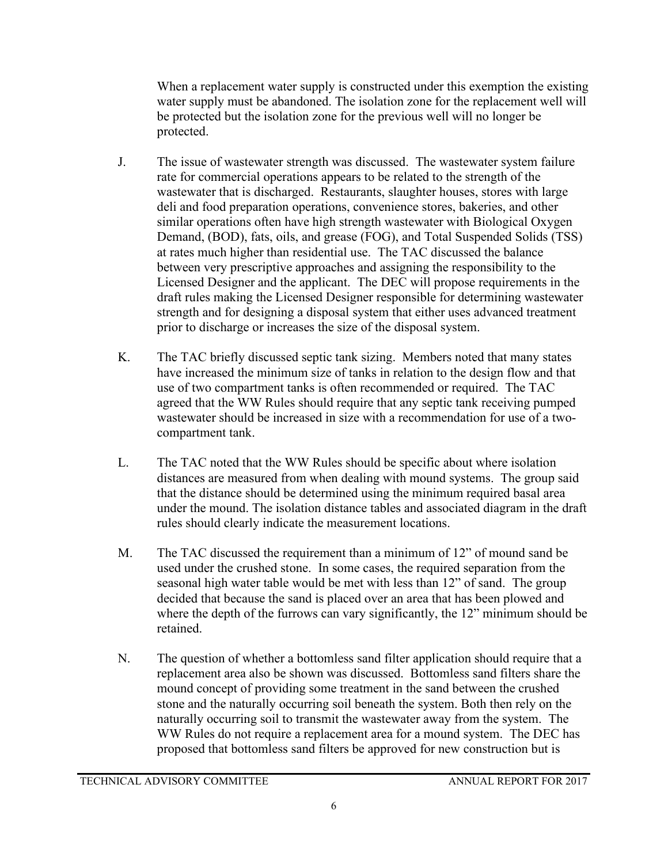When a replacement water supply is constructed under this exemption the existing water supply must be abandoned. The isolation zone for the replacement well will be protected but the isolation zone for the previous well will no longer be protected.

- J. The issue of wastewater strength was discussed. The wastewater system failure rate for commercial operations appears to be related to the strength of the wastewater that is discharged. Restaurants, slaughter houses, stores with large deli and food preparation operations, convenience stores, bakeries, and other similar operations often have high strength wastewater with Biological Oxygen Demand, (BOD), fats, oils, and grease (FOG), and Total Suspended Solids (TSS) at rates much higher than residential use. The TAC discussed the balance between very prescriptive approaches and assigning the responsibility to the Licensed Designer and the applicant. The DEC will propose requirements in the draft rules making the Licensed Designer responsible for determining wastewater strength and for designing a disposal system that either uses advanced treatment prior to discharge or increases the size of the disposal system.
- K. The TAC briefly discussed septic tank sizing. Members noted that many states have increased the minimum size of tanks in relation to the design flow and that use of two compartment tanks is often recommended or required. The TAC agreed that the WW Rules should require that any septic tank receiving pumped wastewater should be increased in size with a recommendation for use of a twocompartment tank.
- L. The TAC noted that the WW Rules should be specific about where isolation distances are measured from when dealing with mound systems. The group said that the distance should be determined using the minimum required basal area under the mound. The isolation distance tables and associated diagram in the draft rules should clearly indicate the measurement locations.
- M. The TAC discussed the requirement than a minimum of 12" of mound sand be used under the crushed stone. In some cases, the required separation from the seasonal high water table would be met with less than 12" of sand. The group decided that because the sand is placed over an area that has been plowed and where the depth of the furrows can vary significantly, the 12" minimum should be retained.
- N. The question of whether a bottomless sand filter application should require that a replacement area also be shown was discussed. Bottomless sand filters share the mound concept of providing some treatment in the sand between the crushed stone and the naturally occurring soil beneath the system. Both then rely on the naturally occurring soil to transmit the wastewater away from the system. The WW Rules do not require a replacement area for a mound system. The DEC has proposed that bottomless sand filters be approved for new construction but is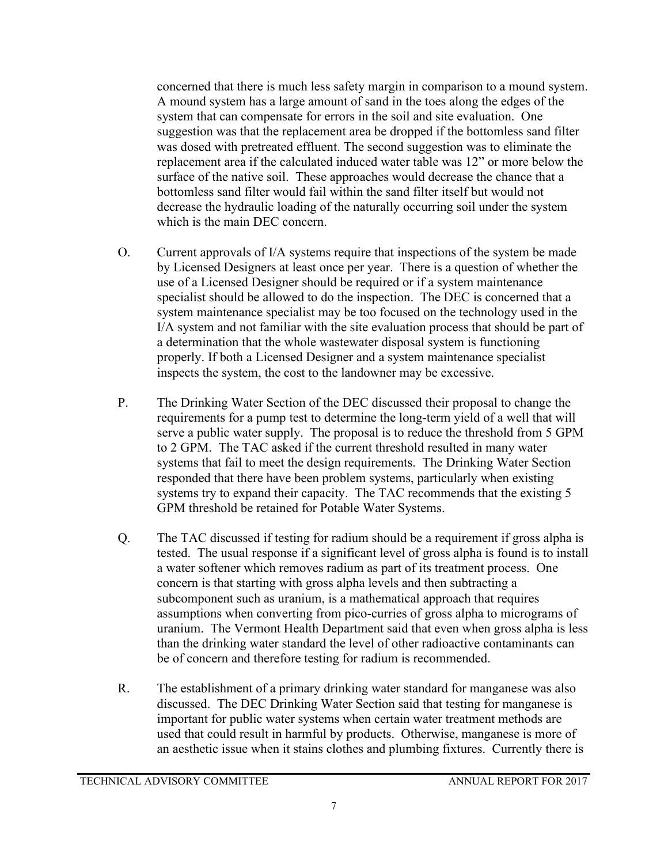concerned that there is much less safety margin in comparison to a mound system. A mound system has a large amount of sand in the toes along the edges of the system that can compensate for errors in the soil and site evaluation. One suggestion was that the replacement area be dropped if the bottomless sand filter was dosed with pretreated effluent. The second suggestion was to eliminate the replacement area if the calculated induced water table was 12" or more below the surface of the native soil. These approaches would decrease the chance that a bottomless sand filter would fail within the sand filter itself but would not decrease the hydraulic loading of the naturally occurring soil under the system which is the main DEC concern.

- O. Current approvals of I/A systems require that inspections of the system be made by Licensed Designers at least once per year. There is a question of whether the use of a Licensed Designer should be required or if a system maintenance specialist should be allowed to do the inspection. The DEC is concerned that a system maintenance specialist may be too focused on the technology used in the I/A system and not familiar with the site evaluation process that should be part of a determination that the whole wastewater disposal system is functioning properly. If both a Licensed Designer and a system maintenance specialist inspects the system, the cost to the landowner may be excessive.
- P. The Drinking Water Section of the DEC discussed their proposal to change the requirements for a pump test to determine the long-term yield of a well that will serve a public water supply. The proposal is to reduce the threshold from 5 GPM to 2 GPM. The TAC asked if the current threshold resulted in many water systems that fail to meet the design requirements. The Drinking Water Section responded that there have been problem systems, particularly when existing systems try to expand their capacity. The TAC recommends that the existing 5 GPM threshold be retained for Potable Water Systems.
- Q. The TAC discussed if testing for radium should be a requirement if gross alpha is tested. The usual response if a significant level of gross alpha is found is to install a water softener which removes radium as part of its treatment process. One concern is that starting with gross alpha levels and then subtracting a subcomponent such as uranium, is a mathematical approach that requires assumptions when converting from pico-curries of gross alpha to micrograms of uranium. The Vermont Health Department said that even when gross alpha is less than the drinking water standard the level of other radioactive contaminants can be of concern and therefore testing for radium is recommended.
- R. The establishment of a primary drinking water standard for manganese was also discussed. The DEC Drinking Water Section said that testing for manganese is important for public water systems when certain water treatment methods are used that could result in harmful by products. Otherwise, manganese is more of an aesthetic issue when it stains clothes and plumbing fixtures. Currently there is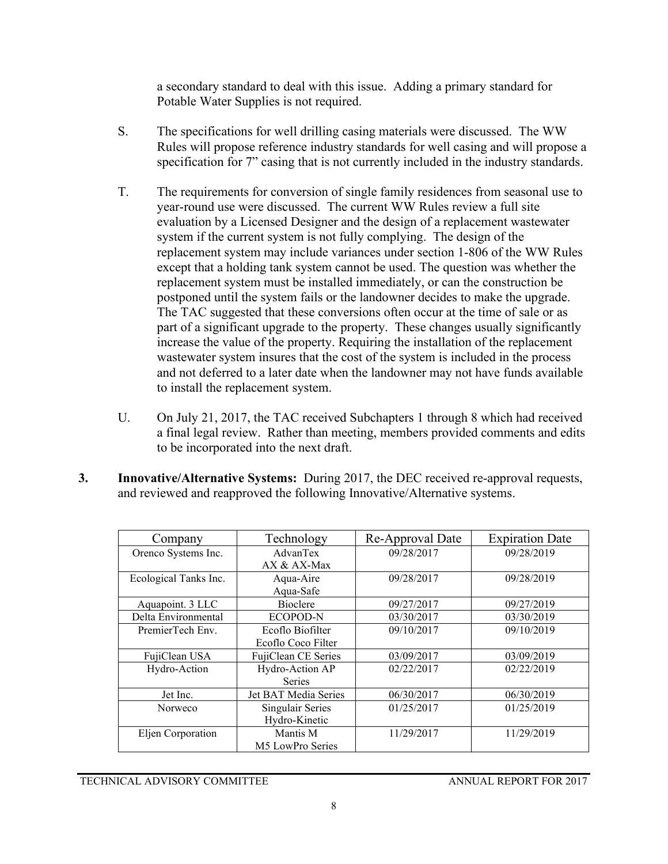a secondary standard to deal with this issue. Adding a primary standard for Potable Water Supplies is not required.

- S. The specifications for well drilling casing materials were discussed. The WW Rules will propose reference industry standards for well casing and will propose a specification for 7" casing that is not currently included in the industry standards.
- T. The requirements for conversion of single family residences from seasonal use to year-round use were discussed. The current WW Rules review a full site evaluation by a Licensed Designer and the design of a replacement wastewater system if the current system is not fully complying. The design of the replacement system may include variances under section 1-806 of the WW Rules except that a holding tank system cannot be used. The question was whether the replacement system must be installed immediately, or can the construction be postponed until the system fails or the landowner decides to make the upgrade. The TAC suggested that these conversions often occur at the time of sale or as part of a significant upgrade to the property. These changes usually significantly increase the value of the property. Requiring the installation of the replacement wastewater system insures that the cost of the system is included in the process and not deferred to a later date when the landowner may not have funds available to install the replacement system.
- U. On July 21, 2017, the TAC received Subchapters 1 through 8 which had received a final legal review. Rather than meeting, members provided comments and edits to be incorporated into the next draft.
- **3. Innovative/Alternative Systems:** During 2017, the DEC received re-approval requests, and reviewed and reapproved the following Innovative/Alternative systems.

| Company               | Technology           | Re-Approval Date | <b>Expiration Date</b> |
|-----------------------|----------------------|------------------|------------------------|
| Orenco Systems Inc.   | AdvanTex             | 09/28/2017       | 09/28/2019             |
|                       | AX & AX-Max          |                  |                        |
| Ecological Tanks Inc. | Aqua-Aire            | 09/28/2017       | 09/28/2019             |
|                       | Aqua-Safe            |                  |                        |
| Aquapoint. 3 LLC      | <b>Bioclere</b>      | 09/27/2017       | 09/27/2019             |
| Delta Environmental   | ECOPOD-N             | 03/30/2017       | 03/30/2019             |
| PremierTech Env.      | Ecoflo Biofilter     | 09/10/2017       | 09/10/2019             |
|                       | Ecoflo Coco Filter   |                  |                        |
| FujiClean USA         | FujiClean CE Series  | 03/09/2017       | 03/09/2019             |
| Hydro-Action          | Hydro-Action AP      | 02/22/2017       | 02/22/2019             |
|                       | <b>Series</b>        |                  |                        |
| Jet Inc.              | Jet BAT Media Series | 06/30/2017       | 06/30/2019             |
| Norweco               | Singulair Series     | 01/25/2017       | 01/25/2019             |
|                       | Hydro-Kinetic        |                  |                        |
| Eljen Corporation     | Mantis M             | 11/29/2017       | 11/29/2019             |
|                       | M5 LowPro Series     |                  |                        |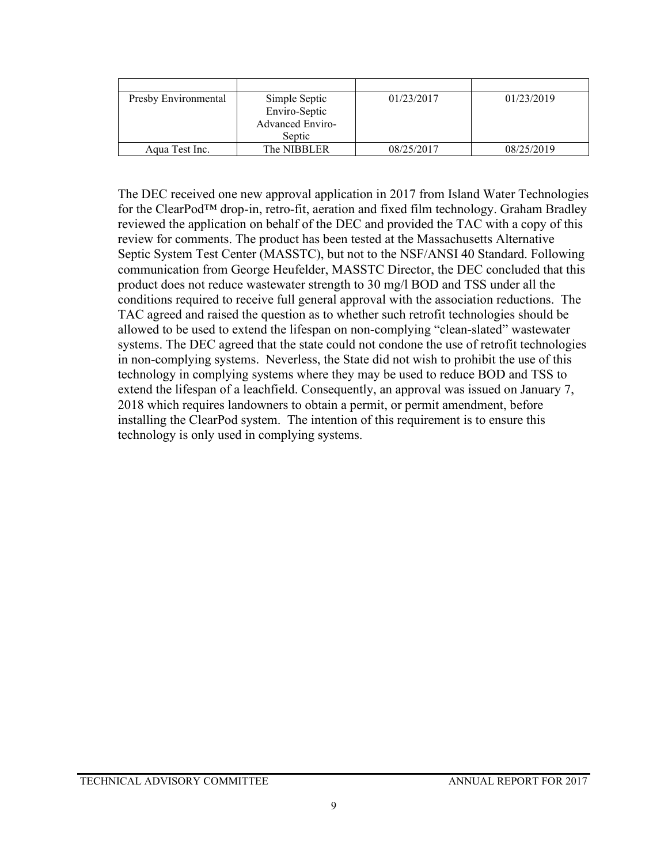| Presby Environmental | Simple Septic           | 01/23/2017 | 01/23/2019 |
|----------------------|-------------------------|------------|------------|
|                      | Enviro-Septic           |            |            |
|                      | <b>Advanced Enviro-</b> |            |            |
|                      | Septic                  |            |            |
| Aqua Test Inc.       | The NIBBLER             | 08/25/2017 | 08/25/2019 |

The DEC received one new approval application in 2017 from Island Water Technologies for the ClearPod™ drop-in, retro-fit, aeration and fixed film technology. Graham Bradley reviewed the application on behalf of the DEC and provided the TAC with a copy of this review for comments. The product has been tested at the Massachusetts Alternative Septic System Test Center (MASSTC), but not to the NSF/ANSI 40 Standard. Following communication from George Heufelder, MASSTC Director, the DEC concluded that this product does not reduce wastewater strength to 30 mg/l BOD and TSS under all the conditions required to receive full general approval with the association reductions. The TAC agreed and raised the question as to whether such retrofit technologies should be allowed to be used to extend the lifespan on non-complying "clean-slated" wastewater systems. The DEC agreed that the state could not condone the use of retrofit technologies in non-complying systems. Neverless, the State did not wish to prohibit the use of this technology in complying systems where they may be used to reduce BOD and TSS to extend the lifespan of a leachfield. Consequently, an approval was issued on January 7, 2018 which requires landowners to obtain a permit, or permit amendment, before installing the ClearPod system. The intention of this requirement is to ensure this technology is only used in complying systems.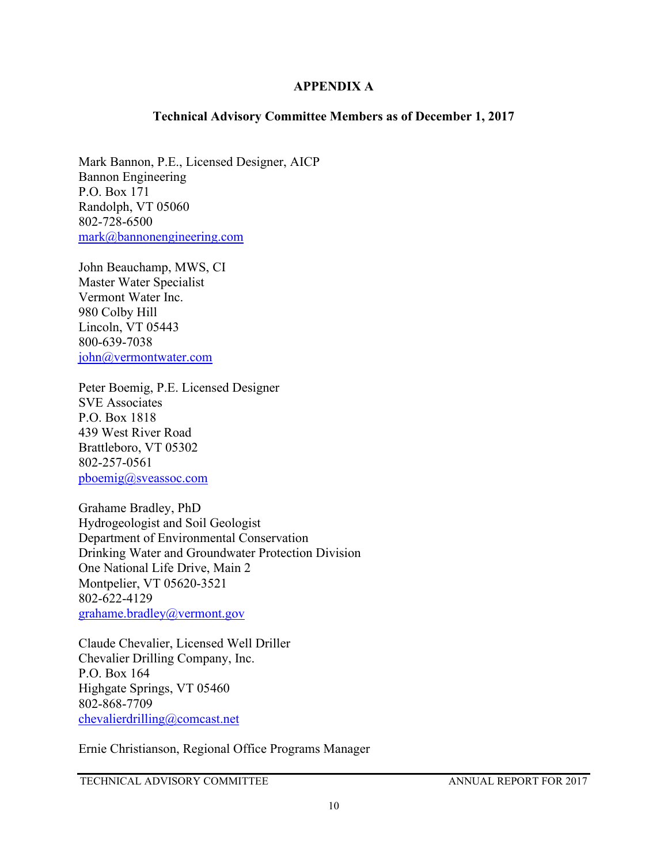### **APPENDIX A**

### **Technical Advisory Committee Members as of December 1, 2017**

Mark Bannon, P.E., Licensed Designer, AICP Bannon Engineering P.O. Box 171 Randolph, VT 05060 802-728-6500 [mark@bannonengineering.com](mailto:mark@bannonengineering.com)

John Beauchamp, MWS, CI Master Water Specialist Vermont Water Inc. 980 Colby Hill Lincoln, VT 05443 800-639-7038 [john@vermontwater.com](mailto:john@vermontwater.com)

Peter Boemig, P.E. Licensed Designer SVE Associates P.O. Box 1818 439 West River Road Brattleboro, VT 05302 802-257-0561 [pboemig@sveassoc.com](mailto:pboemig@sveassoc.com)

Grahame Bradley, PhD Hydrogeologist and Soil Geologist Department of Environmental Conservation Drinking Water and Groundwater Protection Division One National Life Drive, Main 2 Montpelier, VT 05620-3521 802-622-4129 [grahame.bradley@vermont.gov](mailto:grahame.bradley@vermont.gov)

Claude Chevalier, Licensed Well Driller Chevalier Drilling Company, Inc. P.O. Box 164 Highgate Springs, VT 05460 802-868-7709 [chevalierdrilling@comcast.net](mailto:chevalierdrilling@comcast.net)

Ernie Christianson, Regional Office Programs Manager

TECHNICAL ADVISORY COMMITTEE ANNUAL REPORT FOR 2017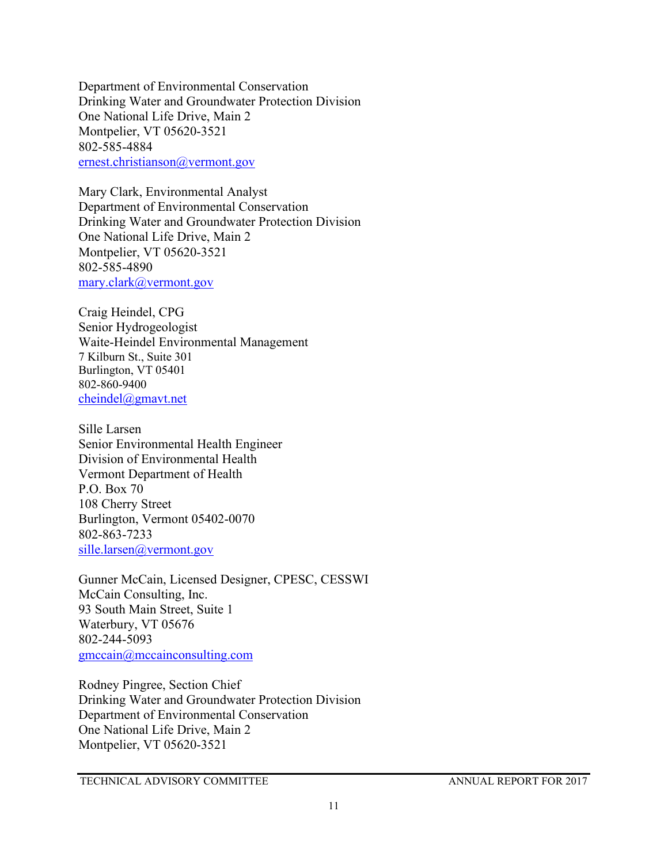Department of Environmental Conservation Drinking Water and Groundwater Protection Division One National Life Drive, Main 2 Montpelier, VT 05620-3521 802-585-4884 [ernest.christianson@vermont.gov](mailto:ernest.christianson@vermont.gov)

Mary Clark, Environmental Analyst Department of Environmental Conservation Drinking Water and Groundwater Protection Division One National Life Drive, Main 2 Montpelier, VT 05620-3521 802-585-4890 [mary.clark@vermont.gov](mailto:mary.clark@vermont.gov)

Craig Heindel, CPG Senior Hydrogeologist Waite-Heindel Environmental Management 7 Kilburn St., Suite 301 Burlington, VT 05401 802-860-9400 [cheindel@gmavt.net](mailto:cheindel@gmavt.net)

Sille Larsen Senior Environmental Health Engineer Division of Environmental Health Vermont Department of Health P.O. Box 70 108 Cherry Street Burlington, Vermont 05402-0070 802-863-7233 [sille.larsen@vermont.gov](mailto:sille.larsen@vermont.gov)

Gunner McCain, Licensed Designer, CPESC, CESSWI McCain Consulting, Inc. 93 South Main Street, Suite 1 Waterbury, VT 05676 802-244-5093 [gmccain@mccainconsulting.com](mailto:gmccain@mccainconsulting.com)

Rodney Pingree, Section Chief Drinking Water and Groundwater Protection Division Department of Environmental Conservation One National Life Drive, Main 2 Montpelier, VT 05620-3521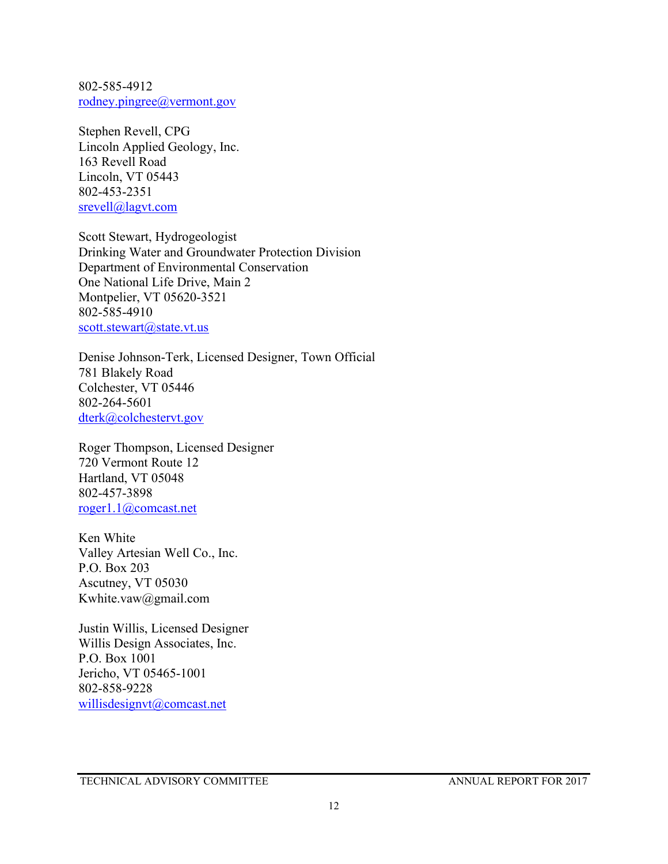802-585-4912 [rodney.pingree@vermont.gov](mailto:rodney.pingree@vermont.gov)

Stephen Revell, CPG Lincoln Applied Geology, Inc. 163 Revell Road Lincoln, VT 05443 802-453-2351 [srevell@lagvt.com](mailto:srevell@lagvt.com)

Scott Stewart, Hydrogeologist Drinking Water and Groundwater Protection Division Department of Environmental Conservation One National Life Drive, Main 2 Montpelier, VT 05620-3521 802-585-4910 [scott.stewart@state.vt.us](mailto:scott.stewart@state.vt.us)

Denise Johnson-Terk, Licensed Designer, Town Official 781 Blakely Road Colchester, VT 05446 802-264-5601 [dterk@colchestervt.gov](mailto:dterk@colchestervt.gov)

Roger Thompson, Licensed Designer 720 Vermont Route 12 Hartland, VT 05048 802-457-3898 [roger1.1@comcast.net](mailto:roger1.1@comcast.net)

Ken White Valley Artesian Well Co., Inc. P.O. Box 203 Ascutney, VT 05030 Kwhite.vaw@gmail.com

Justin Willis, Licensed Designer Willis Design Associates, Inc. P.O. Box 1001 Jericho, VT 05465-1001 802-858-9228 [willisdesignvt@comcast.net](mailto:willisdesignvt@comcast.net)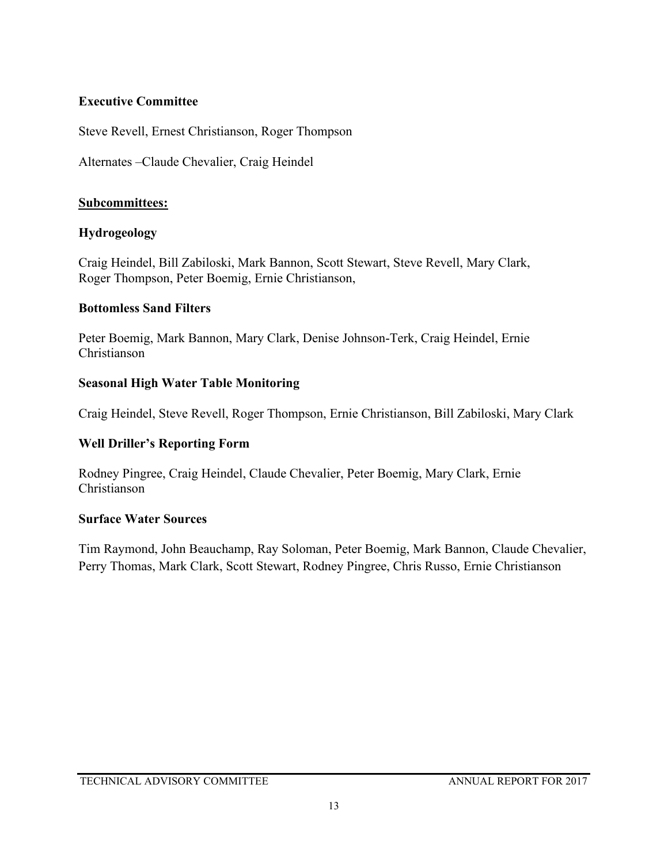### **Executive Committee**

Steve Revell, Ernest Christianson, Roger Thompson

Alternates –Claude Chevalier, Craig Heindel

### **Subcommittees:**

### **Hydrogeology**

Craig Heindel, Bill Zabiloski, Mark Bannon, Scott Stewart, Steve Revell, Mary Clark, Roger Thompson, Peter Boemig, Ernie Christianson,

### **Bottomless Sand Filters**

Peter Boemig, Mark Bannon, Mary Clark, Denise Johnson-Terk, Craig Heindel, Ernie Christianson

### **Seasonal High Water Table Monitoring**

Craig Heindel, Steve Revell, Roger Thompson, Ernie Christianson, Bill Zabiloski, Mary Clark

### **Well Driller's Reporting Form**

Rodney Pingree, Craig Heindel, Claude Chevalier, Peter Boemig, Mary Clark, Ernie Christianson

### **Surface Water Sources**

Tim Raymond, John Beauchamp, Ray Soloman, Peter Boemig, Mark Bannon, Claude Chevalier, Perry Thomas, Mark Clark, Scott Stewart, Rodney Pingree, Chris Russo, Ernie Christianson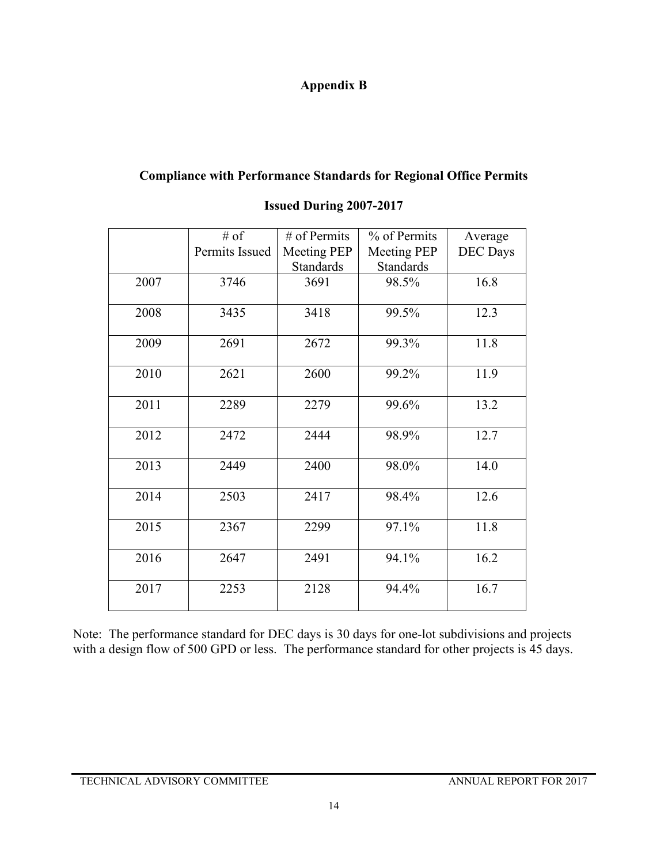## **Appendix B**

## **Compliance with Performance Standards for Regional Office Permits**

|      | $#$ of         | $#$ of Permits     | % of Permits       | Average         |
|------|----------------|--------------------|--------------------|-----------------|
|      | Permits Issued | <b>Meeting PEP</b> | <b>Meeting PEP</b> | <b>DEC</b> Days |
|      |                | <b>Standards</b>   | Standards          |                 |
| 2007 | 3746           | 3691               | 98.5%              | 16.8            |
|      |                |                    |                    |                 |
| 2008 | 3435           | 3418               | 99.5%              | 12.3            |
|      |                |                    |                    |                 |
| 2009 | 2691           | 2672               | 99.3%              | 11.8            |
|      |                |                    |                    |                 |
| 2010 | 2621           | 2600               | 99.2%              | 11.9            |
| 2011 | 2289           | 2279               | 99.6%              | 13.2            |
|      |                |                    |                    |                 |
| 2012 | 2472           | 2444               | 98.9%              | 12.7            |
|      |                |                    |                    |                 |
| 2013 | 2449           | 2400               | 98.0%              | 14.0            |
|      |                |                    |                    |                 |
| 2014 | 2503           | 2417               | 98.4%              | 12.6            |
|      |                |                    |                    |                 |
| 2015 | 2367           | 2299               | 97.1%              | 11.8            |
|      |                |                    |                    |                 |
| 2016 | 2647           | 2491               | 94.1%              | 16.2            |
| 2017 | 2253           | 2128               | 94.4%              | 16.7            |
|      |                |                    |                    |                 |
|      |                |                    |                    |                 |

### **Issued During 2007-2017**

Note: The performance standard for DEC days is 30 days for one-lot subdivisions and projects with a design flow of 500 GPD or less. The performance standard for other projects is 45 days.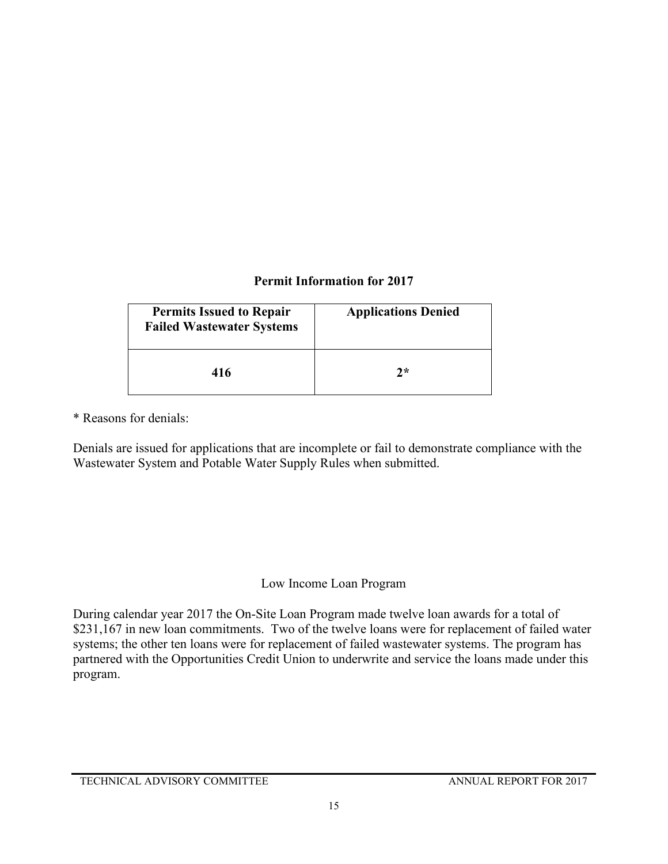## **Permit Information for 2017**

| <b>Permits Issued to Repair</b><br><b>Failed Wastewater Systems</b> | <b>Applications Denied</b> |
|---------------------------------------------------------------------|----------------------------|
| 416                                                                 | 2*                         |

\* Reasons for denials:

Denials are issued for applications that are incomplete or fail to demonstrate compliance with the Wastewater System and Potable Water Supply Rules when submitted.

## Low Income Loan Program

During calendar year 2017 the On-Site Loan Program made twelve loan awards for a total of \$231,167 in new loan commitments. Two of the twelve loans were for replacement of failed water systems; the other ten loans were for replacement of failed wastewater systems. The program has partnered with the Opportunities Credit Union to underwrite and service the loans made under this program.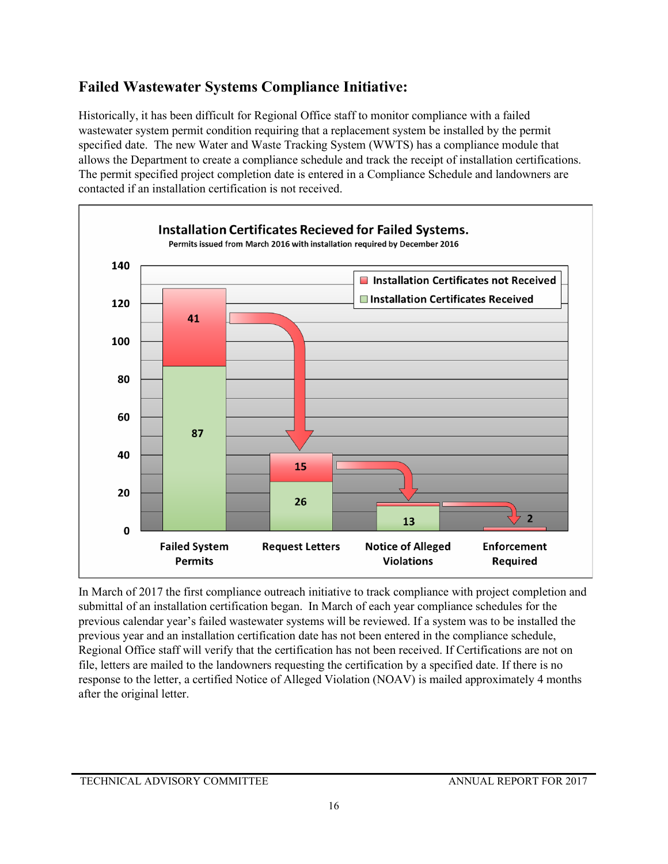## **Failed Wastewater Systems Compliance Initiative:**

Historically, it has been difficult for Regional Office staff to monitor compliance with a failed wastewater system permit condition requiring that a replacement system be installed by the permit specified date. The new Water and Waste Tracking System (WWTS) has a compliance module that allows the Department to create a compliance schedule and track the receipt of installation certifications. The permit specified project completion date is entered in a Compliance Schedule and landowners are contacted if an installation certification is not received.



In March of 2017 the first compliance outreach initiative to track compliance with project completion and submittal of an installation certification began. In March of each year compliance schedules for the previous calendar year's failed wastewater systems will be reviewed. If a system was to be installed the previous year and an installation certification date has not been entered in the compliance schedule, Regional Office staff will verify that the certification has not been received. If Certifications are not on file, letters are mailed to the landowners requesting the certification by a specified date. If there is no response to the letter, a certified Notice of Alleged Violation (NOAV) is mailed approximately 4 months after the original letter.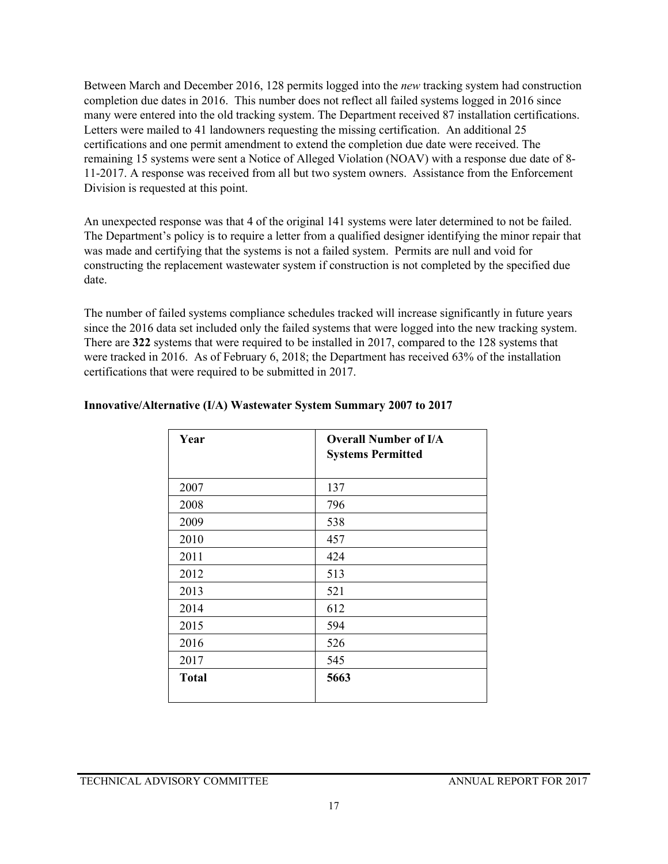Between March and December 2016, 128 permits logged into the *new* tracking system had construction completion due dates in 2016. This number does not reflect all failed systems logged in 2016 since many were entered into the old tracking system. The Department received 87 installation certifications. Letters were mailed to 41 landowners requesting the missing certification. An additional 25 certifications and one permit amendment to extend the completion due date were received. The remaining 15 systems were sent a Notice of Alleged Violation (NOAV) with a response due date of 8- 11-2017. A response was received from all but two system owners. Assistance from the Enforcement Division is requested at this point.

An unexpected response was that 4 of the original 141 systems were later determined to not be failed. The Department's policy is to require a letter from a qualified designer identifying the minor repair that was made and certifying that the systems is not a failed system. Permits are null and void for constructing the replacement wastewater system if construction is not completed by the specified due date.

The number of failed systems compliance schedules tracked will increase significantly in future years since the 2016 data set included only the failed systems that were logged into the new tracking system. There are **322** systems that were required to be installed in 2017, compared to the 128 systems that were tracked in 2016. As of February 6, 2018; the Department has received 63% of the installation certifications that were required to be submitted in 2017.

| Year         | <b>Overall Number of I/A</b> |
|--------------|------------------------------|
|              | <b>Systems Permitted</b>     |
| 2007         | 137                          |
| 2008         | 796                          |
| 2009         | 538                          |
| 2010         | 457                          |
| 2011         | 424                          |
| 2012         | 513                          |
| 2013         | 521                          |
| 2014         | 612                          |
| 2015         | 594                          |
| 2016         | 526                          |
| 2017         | 545                          |
| <b>Total</b> | 5663                         |
|              |                              |

#### **Innovative/Alternative (I/A) Wastewater System Summary 2007 to 2017**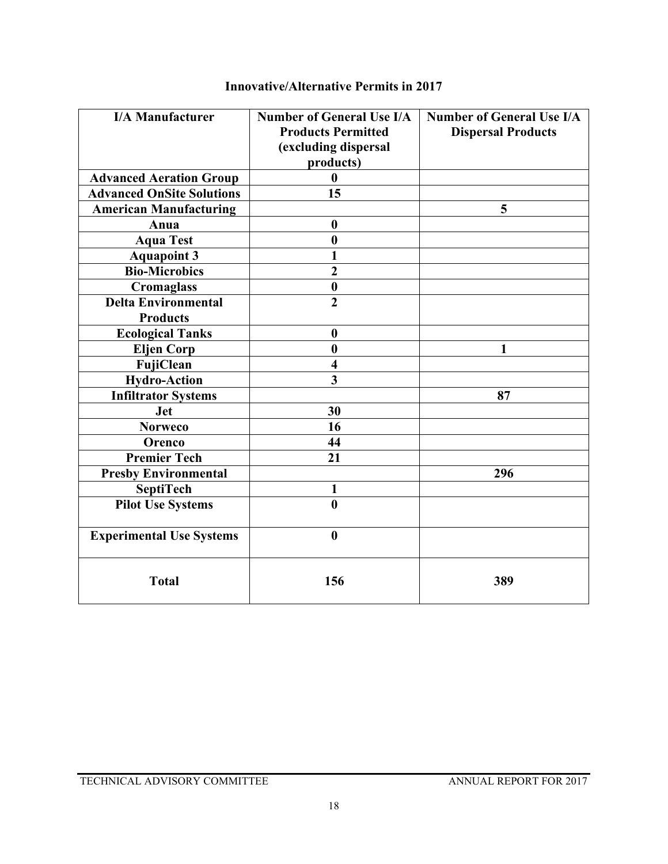| <b>I/A Manufacturer</b>                       | <b>Number of General Use I/A</b><br><b>Products Permitted</b><br>(excluding dispersal<br>products) | <b>Number of General Use I/A</b><br><b>Dispersal Products</b> |
|-----------------------------------------------|----------------------------------------------------------------------------------------------------|---------------------------------------------------------------|
| <b>Advanced Aeration Group</b>                | $\bf{0}$                                                                                           |                                                               |
| <b>Advanced OnSite Solutions</b>              | 15                                                                                                 |                                                               |
| <b>American Manufacturing</b>                 |                                                                                                    | 5                                                             |
| Anua                                          | $\boldsymbol{0}$                                                                                   |                                                               |
| <b>Aqua Test</b>                              | $\bf{0}$                                                                                           |                                                               |
| <b>Aquapoint 3</b>                            | 1                                                                                                  |                                                               |
| <b>Bio-Microbics</b>                          | $\overline{2}$                                                                                     |                                                               |
| <b>Cromaglass</b>                             | $\boldsymbol{0}$                                                                                   |                                                               |
| <b>Delta Environmental</b><br><b>Products</b> | $\overline{2}$                                                                                     |                                                               |
| <b>Ecological Tanks</b>                       | $\boldsymbol{0}$                                                                                   |                                                               |
| <b>Eljen Corp</b>                             | $\boldsymbol{0}$                                                                                   | 1                                                             |
| FujiClean                                     | $\overline{\mathbf{4}}$                                                                            |                                                               |
| <b>Hydro-Action</b>                           | $\overline{\mathbf{3}}$                                                                            |                                                               |
| <b>Infiltrator Systems</b>                    |                                                                                                    | 87                                                            |
| <b>Jet</b>                                    | 30                                                                                                 |                                                               |
| <b>Norweco</b>                                | 16                                                                                                 |                                                               |
| Orenco                                        | 44                                                                                                 |                                                               |
| <b>Premier Tech</b>                           | 21                                                                                                 |                                                               |
| <b>Presby Environmental</b>                   |                                                                                                    | 296                                                           |
| <b>SeptiTech</b>                              | 1                                                                                                  |                                                               |
| <b>Pilot Use Systems</b>                      | $\bf{0}$                                                                                           |                                                               |
| <b>Experimental Use Systems</b>               | $\boldsymbol{0}$                                                                                   |                                                               |
| <b>Total</b>                                  | 156                                                                                                | 389                                                           |

## **Innovative/Alternative Permits in 2017**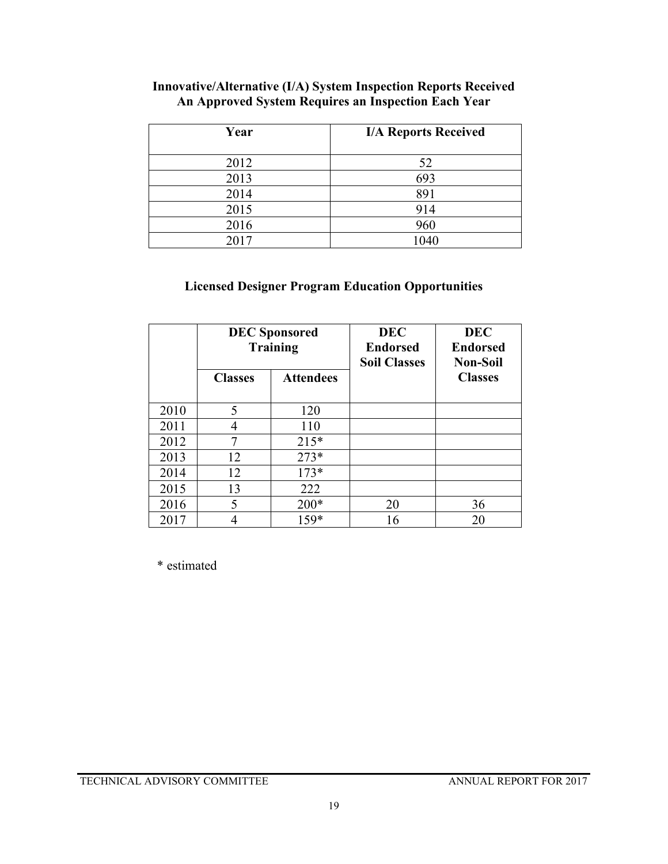| Year | <b>I/A Reports Received</b> |
|------|-----------------------------|
| 2012 | 52                          |
| 2013 | 693                         |
| 2014 | 891                         |
| 2015 | 914                         |
| 2016 | 960                         |
| 2017 | 1040                        |

### **Innovative/Alternative (I/A) System Inspection Reports Received An Approved System Requires an Inspection Each Year**

## **Licensed Designer Program Education Opportunities**

|      | <b>DEC</b> Sponsored<br><b>Training</b> |                  | <b>DEC</b><br><b>Endorsed</b><br><b>Soil Classes</b> | <b>DEC</b><br><b>Endorsed</b><br><b>Non-Soil</b> |
|------|-----------------------------------------|------------------|------------------------------------------------------|--------------------------------------------------|
|      | <b>Classes</b>                          | <b>Attendees</b> |                                                      | <b>Classes</b>                                   |
| 2010 | 5                                       | 120              |                                                      |                                                  |
| 2011 |                                         | 110              |                                                      |                                                  |
| 2012 |                                         | $215*$           |                                                      |                                                  |
| 2013 | 12                                      | $273*$           |                                                      |                                                  |
| 2014 | 12                                      | $173*$           |                                                      |                                                  |
| 2015 | 13                                      | 222              |                                                      |                                                  |
| 2016 | 5                                       | $200*$           | 20                                                   | 36                                               |
| 2017 |                                         | $159*$           | 16                                                   | 20                                               |

\* estimated

TECHNICAL ADVISORY COMMITTEE ANNUAL REPORT FOR 2017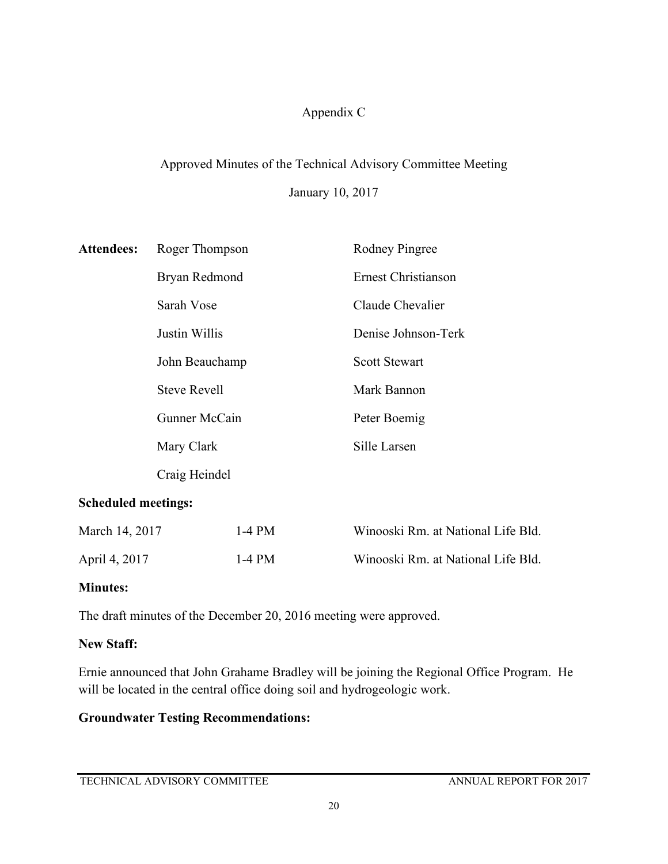## Appendix C

# Approved Minutes of the Technical Advisory Committee Meeting

January 10, 2017

| <b>Attendees:</b>          | Roger Thompson                                     |          | <b>Rodney Pingree</b>              |  |
|----------------------------|----------------------------------------------------|----------|------------------------------------|--|
|                            | Bryan Redmond                                      |          | Ernest Christianson                |  |
|                            | Sarah Vose                                         |          | Claude Chevalier                   |  |
|                            | Justin Willis                                      |          | Denise Johnson-Terk                |  |
|                            | John Beauchamp                                     |          | <b>Scott Stewart</b>               |  |
|                            | <b>Steve Revell</b><br>Gunner McCain<br>Mary Clark |          | Mark Bannon                        |  |
|                            |                                                    |          | Peter Boemig                       |  |
|                            |                                                    |          | Sille Larsen                       |  |
|                            | Craig Heindel                                      |          |                                    |  |
| <b>Scheduled meetings:</b> |                                                    |          |                                    |  |
| March 14, 2017             |                                                    | $1-4$ PM | Winooski Rm. at National Life Bld. |  |

# **Minutes:**

The draft minutes of the December 20, 2016 meeting were approved.

## **New Staff:**

Ernie announced that John Grahame Bradley will be joining the Regional Office Program. He will be located in the central office doing soil and hydrogeologic work.

April 4, 2017 1-4 PM Winooski Rm. at National Life Bld.

## **Groundwater Testing Recommendations:**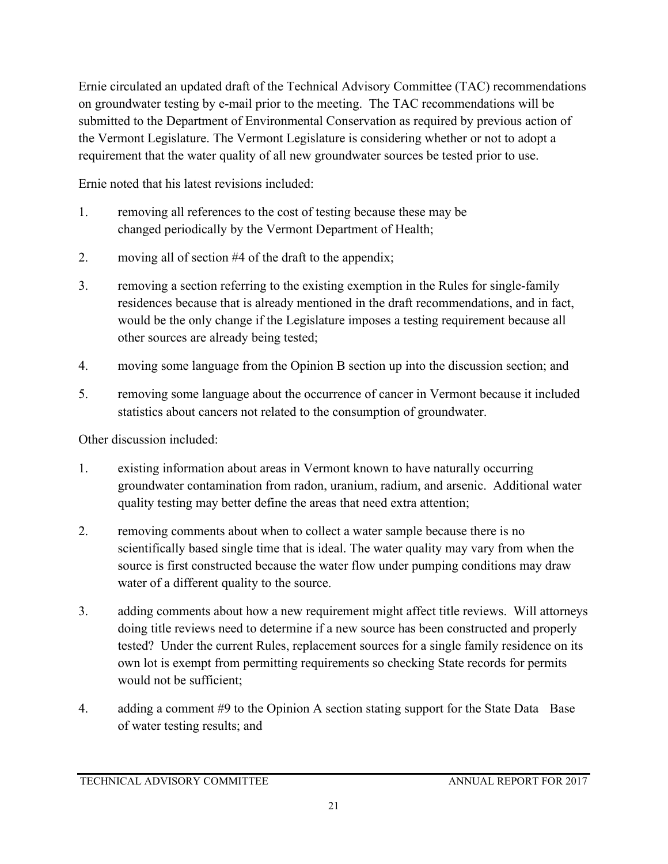Ernie circulated an updated draft of the Technical Advisory Committee (TAC) recommendations on groundwater testing by e-mail prior to the meeting. The TAC recommendations will be submitted to the Department of Environmental Conservation as required by previous action of the Vermont Legislature. The Vermont Legislature is considering whether or not to adopt a requirement that the water quality of all new groundwater sources be tested prior to use.

Ernie noted that his latest revisions included:

- 1. removing all references to the cost of testing because these may be changed periodically by the Vermont Department of Health;
- 2. moving all of section #4 of the draft to the appendix;
- 3. removing a section referring to the existing exemption in the Rules for single-family residences because that is already mentioned in the draft recommendations, and in fact, would be the only change if the Legislature imposes a testing requirement because all other sources are already being tested;
- 4. moving some language from the Opinion B section up into the discussion section; and
- 5. removing some language about the occurrence of cancer in Vermont because it included statistics about cancers not related to the consumption of groundwater.

Other discussion included:

- 1. existing information about areas in Vermont known to have naturally occurring groundwater contamination from radon, uranium, radium, and arsenic. Additional water quality testing may better define the areas that need extra attention;
- 2. removing comments about when to collect a water sample because there is no scientifically based single time that is ideal. The water quality may vary from when the source is first constructed because the water flow under pumping conditions may draw water of a different quality to the source.
- 3. adding comments about how a new requirement might affect title reviews. Will attorneys doing title reviews need to determine if a new source has been constructed and properly tested? Under the current Rules, replacement sources for a single family residence on its own lot is exempt from permitting requirements so checking State records for permits would not be sufficient;
- 4. adding a comment #9 to the Opinion A section stating support for the State Data Base of water testing results; and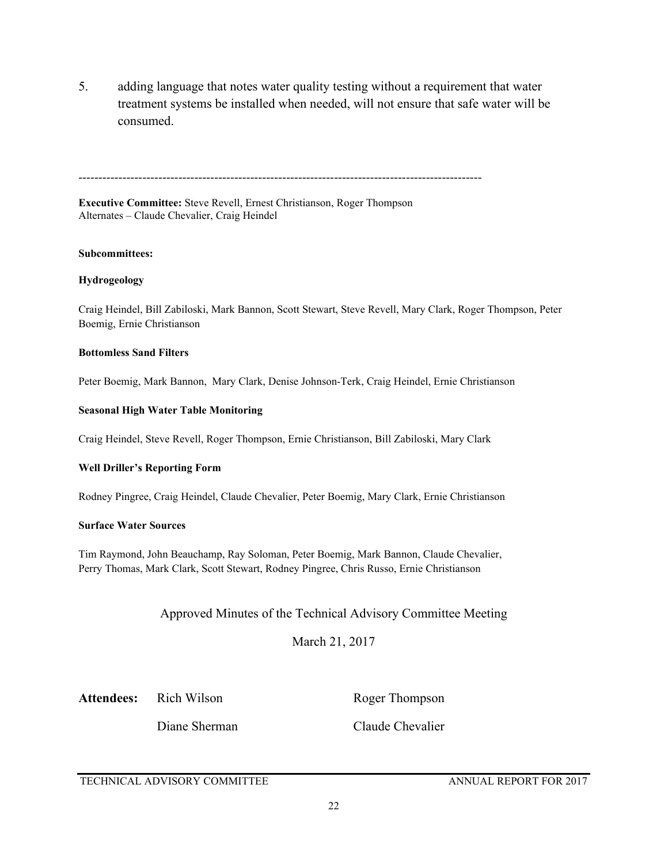5. adding language that notes water quality testing without a requirement that water treatment systems be installed when needed, will not ensure that safe water will be consumed.

-----------------------------------------------------------------------------------------------------

**Executive Committee:** Steve Revell, Ernest Christianson, Roger Thompson Alternates – Claude Chevalier, Craig Heindel

#### **Subcommittees:**

#### **Hydrogeology**

Craig Heindel, Bill Zabiloski, Mark Bannon, Scott Stewart, Steve Revell, Mary Clark, Roger Thompson, Peter Boemig, Ernie Christianson

#### **Bottomless Sand Filters**

Peter Boemig, Mark Bannon, Mary Clark, Denise Johnson-Terk, Craig Heindel, Ernie Christianson

#### **Seasonal High Water Table Monitoring**

Craig Heindel, Steve Revell, Roger Thompson, Ernie Christianson, Bill Zabiloski, Mary Clark

#### **Well Driller's Reporting Form**

Rodney Pingree, Craig Heindel, Claude Chevalier, Peter Boemig, Mary Clark, Ernie Christianson

#### **Surface Water Sources**

Tim Raymond, John Beauchamp, Ray Soloman, Peter Boemig, Mark Bannon, Claude Chevalier, Perry Thomas, Mark Clark, Scott Stewart, Rodney Pingree, Chris Russo, Ernie Christianson

#### Approved Minutes of the Technical Advisory Committee Meeting

March 21, 2017

#### Attendees: Rich Wilson Roger Thompson

Diane Sherman Claude Chevalier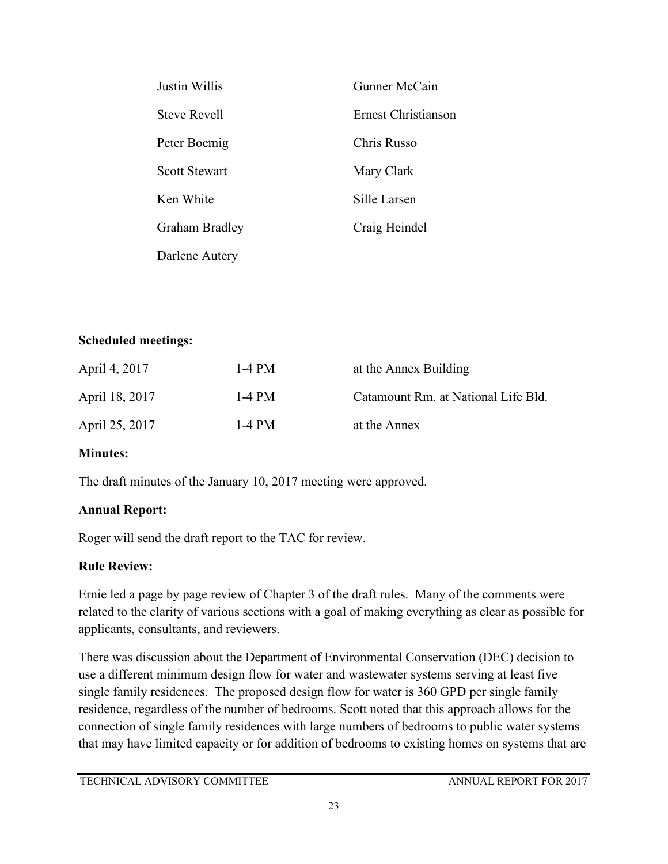| Justin Willis        | Gunner McCain              |
|----------------------|----------------------------|
| <b>Steve Revell</b>  | <b>Ernest Christianson</b> |
| Peter Boemig         | Chris Russo                |
| <b>Scott Stewart</b> | Mary Clark                 |
| Ken White            | Sille Larsen               |
| Graham Bradley       | Craig Heindel              |
| Darlene Autery       |                            |

## **Scheduled meetings:**

| April 4, 2017  | 1-4 PM | at the Annex Building               |
|----------------|--------|-------------------------------------|
| April 18, 2017 | 1-4 PM | Catamount Rm. at National Life Bld. |
| April 25, 2017 | 1-4 PM | at the Annex                        |

## **Minutes:**

The draft minutes of the January 10, 2017 meeting were approved.

## **Annual Report:**

Roger will send the draft report to the TAC for review.

## **Rule Review:**

Ernie led a page by page review of Chapter 3 of the draft rules. Many of the comments were related to the clarity of various sections with a goal of making everything as clear as possible for applicants, consultants, and reviewers.

There was discussion about the Department of Environmental Conservation (DEC) decision to use a different minimum design flow for water and wastewater systems serving at least five single family residences. The proposed design flow for water is 360 GPD per single family residence, regardless of the number of bedrooms. Scott noted that this approach allows for the connection of single family residences with large numbers of bedrooms to public water systems that may have limited capacity or for addition of bedrooms to existing homes on systems that are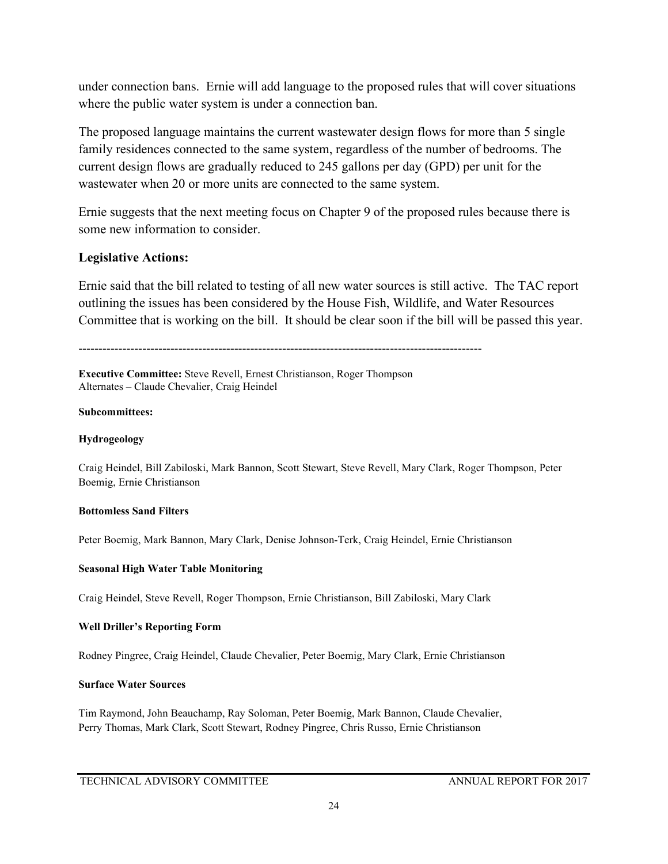under connection bans. Ernie will add language to the proposed rules that will cover situations where the public water system is under a connection ban.

The proposed language maintains the current wastewater design flows for more than 5 single family residences connected to the same system, regardless of the number of bedrooms. The current design flows are gradually reduced to 245 gallons per day (GPD) per unit for the wastewater when 20 or more units are connected to the same system.

Ernie suggests that the next meeting focus on Chapter 9 of the proposed rules because there is some new information to consider.

### **Legislative Actions:**

Ernie said that the bill related to testing of all new water sources is still active. The TAC report outlining the issues has been considered by the House Fish, Wildlife, and Water Resources Committee that is working on the bill. It should be clear soon if the bill will be passed this year.

-----------------------------------------------------------------------------------------------------

**Executive Committee:** Steve Revell, Ernest Christianson, Roger Thompson Alternates – Claude Chevalier, Craig Heindel

#### **Subcommittees:**

#### **Hydrogeology**

Craig Heindel, Bill Zabiloski, Mark Bannon, Scott Stewart, Steve Revell, Mary Clark, Roger Thompson, Peter Boemig, Ernie Christianson

#### **Bottomless Sand Filters**

Peter Boemig, Mark Bannon, Mary Clark, Denise Johnson-Terk, Craig Heindel, Ernie Christianson

#### **Seasonal High Water Table Monitoring**

Craig Heindel, Steve Revell, Roger Thompson, Ernie Christianson, Bill Zabiloski, Mary Clark

#### **Well Driller's Reporting Form**

Rodney Pingree, Craig Heindel, Claude Chevalier, Peter Boemig, Mary Clark, Ernie Christianson

#### **Surface Water Sources**

Tim Raymond, John Beauchamp, Ray Soloman, Peter Boemig, Mark Bannon, Claude Chevalier, Perry Thomas, Mark Clark, Scott Stewart, Rodney Pingree, Chris Russo, Ernie Christianson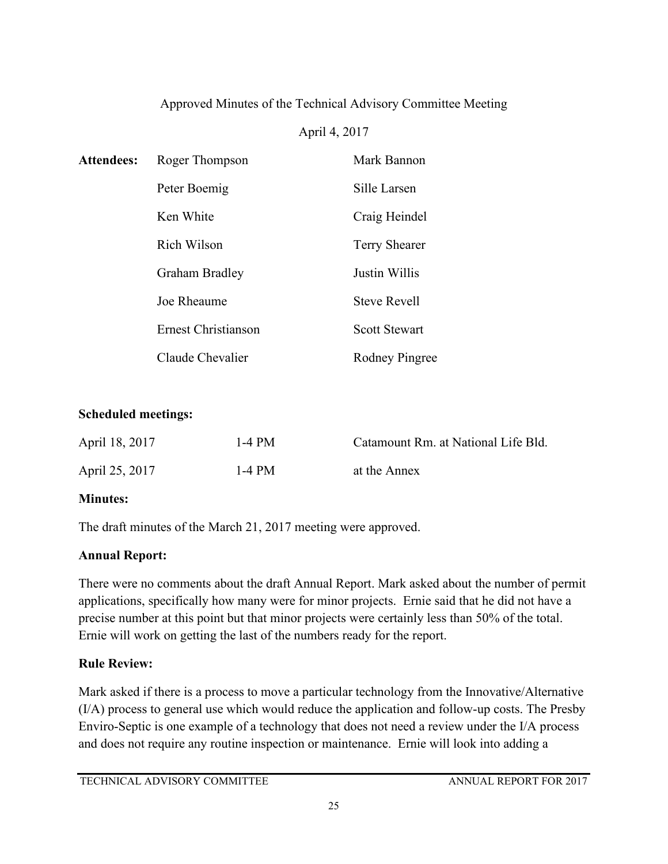## Approved Minutes of the Technical Advisory Committee Meeting

## April 4, 2017

| <b>Attendees:</b> | Roger Thompson      | Mark Bannon           |
|-------------------|---------------------|-----------------------|
|                   | Peter Boemig        | Sille Larsen          |
|                   | Ken White           | Craig Heindel         |
|                   | Rich Wilson         | <b>Terry Shearer</b>  |
|                   | Graham Bradley      | Justin Willis         |
|                   | Joe Rheaume         | <b>Steve Revell</b>   |
|                   | Ernest Christianson | <b>Scott Stewart</b>  |
|                   | Claude Chevalier    | <b>Rodney Pingree</b> |

## **Scheduled meetings:**

| April 18, 2017 | 1-4 PM | Catamount Rm. at National Life Bld. |
|----------------|--------|-------------------------------------|
| April 25, 2017 | 1-4 PM | at the Annex                        |

### **Minutes:**

The draft minutes of the March 21, 2017 meeting were approved.

## **Annual Report:**

There were no comments about the draft Annual Report. Mark asked about the number of permit applications, specifically how many were for minor projects. Ernie said that he did not have a precise number at this point but that minor projects were certainly less than 50% of the total. Ernie will work on getting the last of the numbers ready for the report.

## **Rule Review:**

Mark asked if there is a process to move a particular technology from the Innovative/Alternative (I/A) process to general use which would reduce the application and follow-up costs. The Presby Enviro-Septic is one example of a technology that does not need a review under the I/A process and does not require any routine inspection or maintenance. Ernie will look into adding a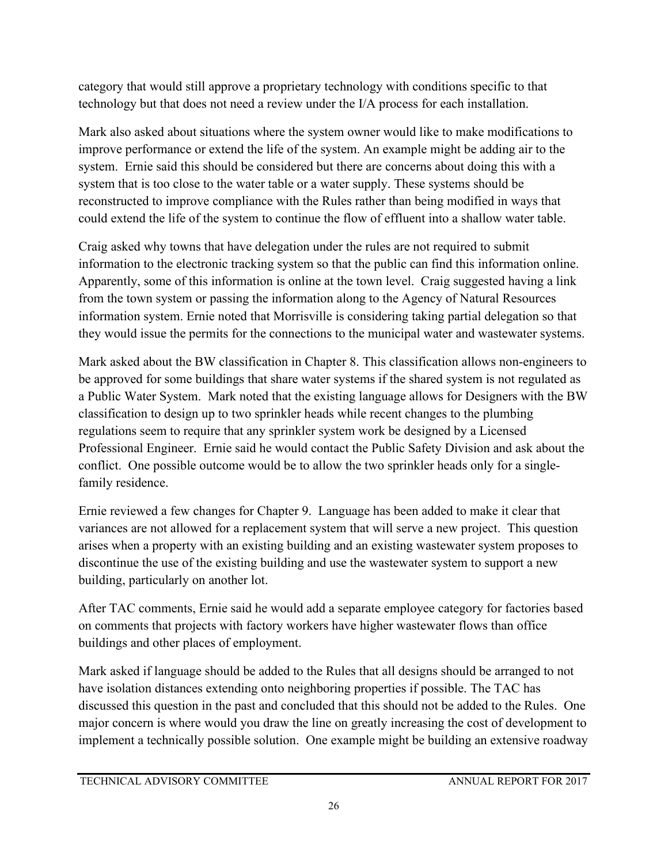category that would still approve a proprietary technology with conditions specific to that technology but that does not need a review under the I/A process for each installation.

Mark also asked about situations where the system owner would like to make modifications to improve performance or extend the life of the system. An example might be adding air to the system. Ernie said this should be considered but there are concerns about doing this with a system that is too close to the water table or a water supply. These systems should be reconstructed to improve compliance with the Rules rather than being modified in ways that could extend the life of the system to continue the flow of effluent into a shallow water table.

Craig asked why towns that have delegation under the rules are not required to submit information to the electronic tracking system so that the public can find this information online. Apparently, some of this information is online at the town level. Craig suggested having a link from the town system or passing the information along to the Agency of Natural Resources information system. Ernie noted that Morrisville is considering taking partial delegation so that they would issue the permits for the connections to the municipal water and wastewater systems.

Mark asked about the BW classification in Chapter 8. This classification allows non-engineers to be approved for some buildings that share water systems if the shared system is not regulated as a Public Water System. Mark noted that the existing language allows for Designers with the BW classification to design up to two sprinkler heads while recent changes to the plumbing regulations seem to require that any sprinkler system work be designed by a Licensed Professional Engineer. Ernie said he would contact the Public Safety Division and ask about the conflict. One possible outcome would be to allow the two sprinkler heads only for a singlefamily residence.

Ernie reviewed a few changes for Chapter 9. Language has been added to make it clear that variances are not allowed for a replacement system that will serve a new project. This question arises when a property with an existing building and an existing wastewater system proposes to discontinue the use of the existing building and use the wastewater system to support a new building, particularly on another lot.

After TAC comments, Ernie said he would add a separate employee category for factories based on comments that projects with factory workers have higher wastewater flows than office buildings and other places of employment.

Mark asked if language should be added to the Rules that all designs should be arranged to not have isolation distances extending onto neighboring properties if possible. The TAC has discussed this question in the past and concluded that this should not be added to the Rules. One major concern is where would you draw the line on greatly increasing the cost of development to implement a technically possible solution. One example might be building an extensive roadway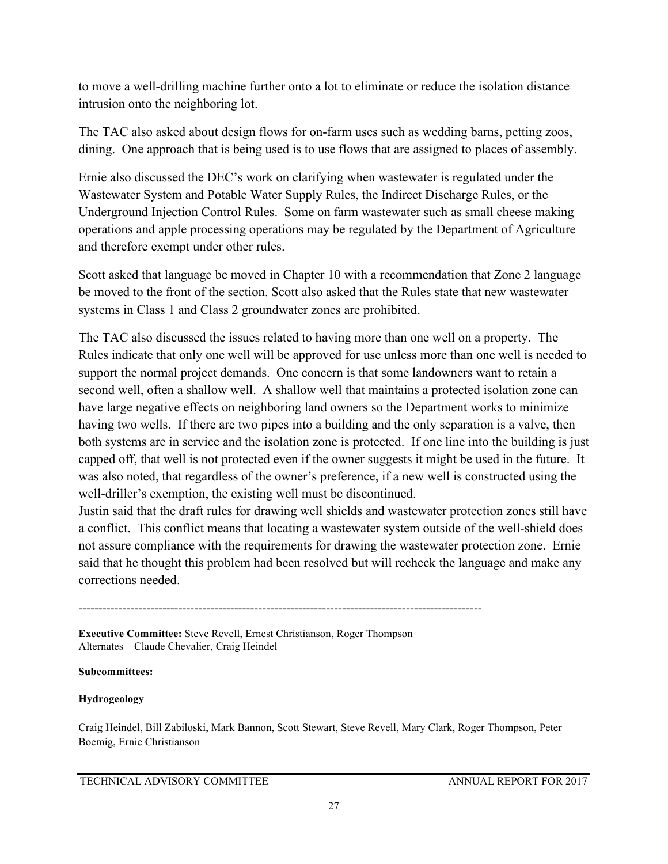to move a well-drilling machine further onto a lot to eliminate or reduce the isolation distance intrusion onto the neighboring lot.

The TAC also asked about design flows for on-farm uses such as wedding barns, petting zoos, dining. One approach that is being used is to use flows that are assigned to places of assembly.

Ernie also discussed the DEC's work on clarifying when wastewater is regulated under the Wastewater System and Potable Water Supply Rules, the Indirect Discharge Rules, or the Underground Injection Control Rules. Some on farm wastewater such as small cheese making operations and apple processing operations may be regulated by the Department of Agriculture and therefore exempt under other rules.

Scott asked that language be moved in Chapter 10 with a recommendation that Zone 2 language be moved to the front of the section. Scott also asked that the Rules state that new wastewater systems in Class 1 and Class 2 groundwater zones are prohibited.

The TAC also discussed the issues related to having more than one well on a property. The Rules indicate that only one well will be approved for use unless more than one well is needed to support the normal project demands. One concern is that some landowners want to retain a second well, often a shallow well. A shallow well that maintains a protected isolation zone can have large negative effects on neighboring land owners so the Department works to minimize having two wells. If there are two pipes into a building and the only separation is a valve, then both systems are in service and the isolation zone is protected. If one line into the building is just capped off, that well is not protected even if the owner suggests it might be used in the future. It was also noted, that regardless of the owner's preference, if a new well is constructed using the well-driller's exemption, the existing well must be discontinued.

Justin said that the draft rules for drawing well shields and wastewater protection zones still have a conflict. This conflict means that locating a wastewater system outside of the well-shield does not assure compliance with the requirements for drawing the wastewater protection zone. Ernie said that he thought this problem had been resolved but will recheck the language and make any corrections needed.

-----------------------------------------------------------------------------------------------------

**Executive Committee:** Steve Revell, Ernest Christianson, Roger Thompson Alternates – Claude Chevalier, Craig Heindel

#### **Subcommittees:**

#### **Hydrogeology**

Craig Heindel, Bill Zabiloski, Mark Bannon, Scott Stewart, Steve Revell, Mary Clark, Roger Thompson, Peter Boemig, Ernie Christianson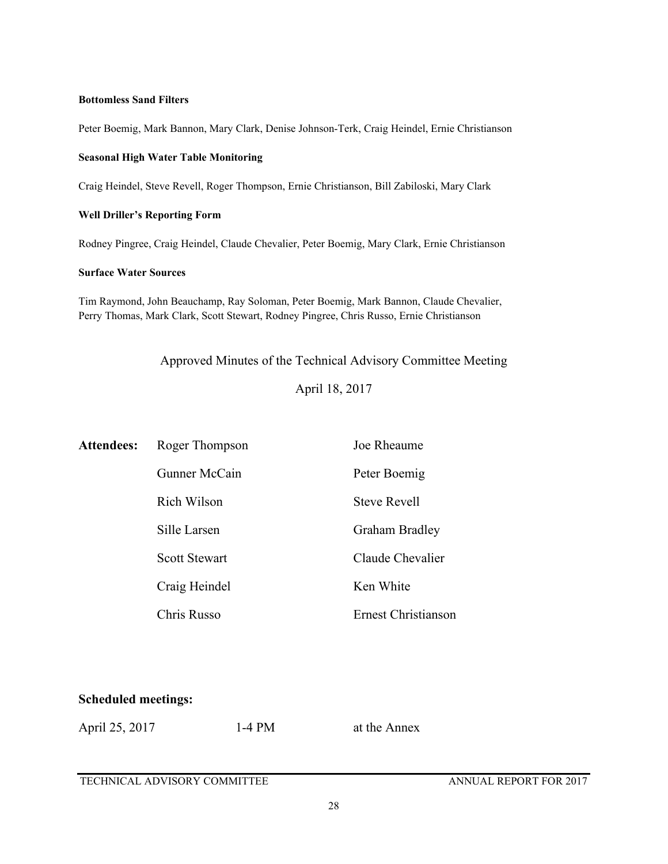#### **Bottomless Sand Filters**

Peter Boemig, Mark Bannon, Mary Clark, Denise Johnson-Terk, Craig Heindel, Ernie Christianson

#### **Seasonal High Water Table Monitoring**

Craig Heindel, Steve Revell, Roger Thompson, Ernie Christianson, Bill Zabiloski, Mary Clark

#### **Well Driller's Reporting Form**

Rodney Pingree, Craig Heindel, Claude Chevalier, Peter Boemig, Mary Clark, Ernie Christianson

#### **Surface Water Sources**

Tim Raymond, John Beauchamp, Ray Soloman, Peter Boemig, Mark Bannon, Claude Chevalier, Perry Thomas, Mark Clark, Scott Stewart, Rodney Pingree, Chris Russo, Ernie Christianson

Approved Minutes of the Technical Advisory Committee Meeting

April 18, 2017

| <b>Attendees:</b> | Roger Thompson       | Joe Rheaume                |
|-------------------|----------------------|----------------------------|
|                   | Gunner McCain        | Peter Boemig               |
|                   | Rich Wilson          | <b>Steve Revell</b>        |
|                   | Sille Larsen         | <b>Graham Bradley</b>      |
|                   | <b>Scott Stewart</b> | Claude Chevalier           |
|                   | Craig Heindel        | Ken White                  |
|                   | Chris Russo          | <b>Ernest Christianson</b> |

#### **Scheduled meetings:**

April 25, 2017 1-4 PM at the Annex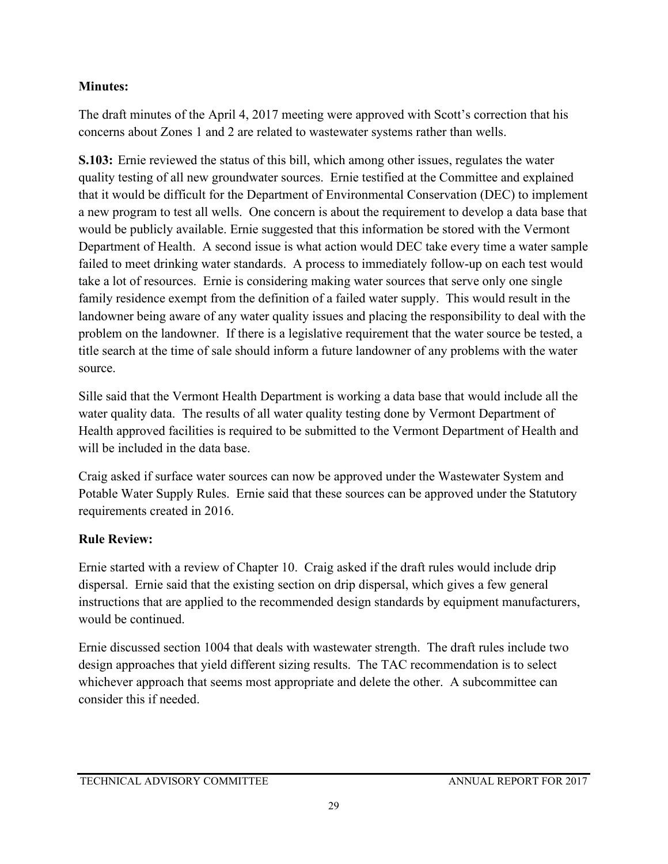## **Minutes:**

The draft minutes of the April 4, 2017 meeting were approved with Scott's correction that his concerns about Zones 1 and 2 are related to wastewater systems rather than wells.

**S.103:** Ernie reviewed the status of this bill, which among other issues, regulates the water quality testing of all new groundwater sources. Ernie testified at the Committee and explained that it would be difficult for the Department of Environmental Conservation (DEC) to implement a new program to test all wells. One concern is about the requirement to develop a data base that would be publicly available. Ernie suggested that this information be stored with the Vermont Department of Health. A second issue is what action would DEC take every time a water sample failed to meet drinking water standards. A process to immediately follow-up on each test would take a lot of resources. Ernie is considering making water sources that serve only one single family residence exempt from the definition of a failed water supply. This would result in the landowner being aware of any water quality issues and placing the responsibility to deal with the problem on the landowner. If there is a legislative requirement that the water source be tested, a title search at the time of sale should inform a future landowner of any problems with the water source.

Sille said that the Vermont Health Department is working a data base that would include all the water quality data. The results of all water quality testing done by Vermont Department of Health approved facilities is required to be submitted to the Vermont Department of Health and will be included in the data base.

Craig asked if surface water sources can now be approved under the Wastewater System and Potable Water Supply Rules. Ernie said that these sources can be approved under the Statutory requirements created in 2016.

## **Rule Review:**

Ernie started with a review of Chapter 10. Craig asked if the draft rules would include drip dispersal. Ernie said that the existing section on drip dispersal, which gives a few general instructions that are applied to the recommended design standards by equipment manufacturers, would be continued.

Ernie discussed section 1004 that deals with wastewater strength. The draft rules include two design approaches that yield different sizing results. The TAC recommendation is to select whichever approach that seems most appropriate and delete the other. A subcommittee can consider this if needed.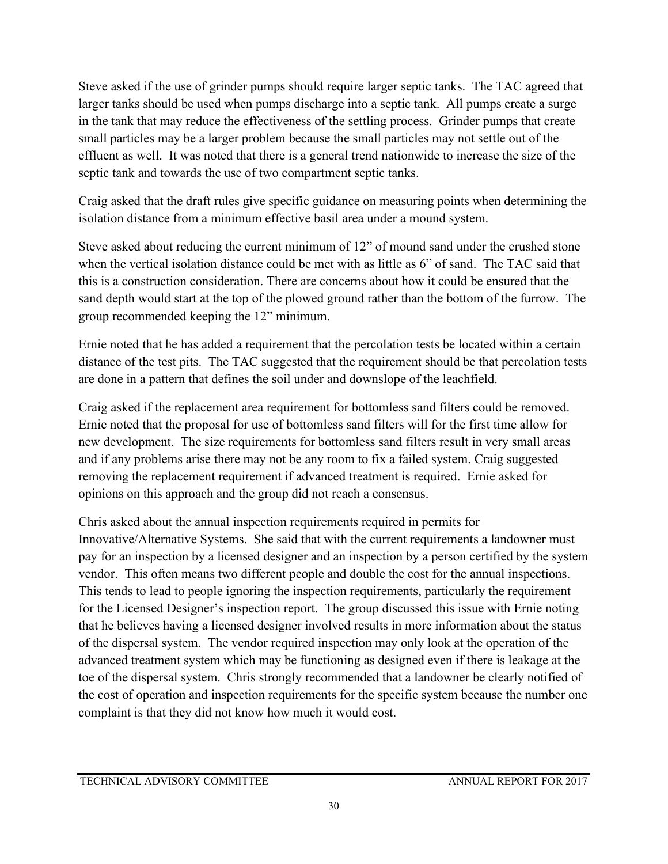Steve asked if the use of grinder pumps should require larger septic tanks. The TAC agreed that larger tanks should be used when pumps discharge into a septic tank. All pumps create a surge in the tank that may reduce the effectiveness of the settling process. Grinder pumps that create small particles may be a larger problem because the small particles may not settle out of the effluent as well. It was noted that there is a general trend nationwide to increase the size of the septic tank and towards the use of two compartment septic tanks.

Craig asked that the draft rules give specific guidance on measuring points when determining the isolation distance from a minimum effective basil area under a mound system.

Steve asked about reducing the current minimum of 12" of mound sand under the crushed stone when the vertical isolation distance could be met with as little as 6" of sand. The TAC said that this is a construction consideration. There are concerns about how it could be ensured that the sand depth would start at the top of the plowed ground rather than the bottom of the furrow. The group recommended keeping the 12" minimum.

Ernie noted that he has added a requirement that the percolation tests be located within a certain distance of the test pits. The TAC suggested that the requirement should be that percolation tests are done in a pattern that defines the soil under and downslope of the leachfield.

Craig asked if the replacement area requirement for bottomless sand filters could be removed. Ernie noted that the proposal for use of bottomless sand filters will for the first time allow for new development. The size requirements for bottomless sand filters result in very small areas and if any problems arise there may not be any room to fix a failed system. Craig suggested removing the replacement requirement if advanced treatment is required. Ernie asked for opinions on this approach and the group did not reach a consensus.

Chris asked about the annual inspection requirements required in permits for Innovative/Alternative Systems. She said that with the current requirements a landowner must pay for an inspection by a licensed designer and an inspection by a person certified by the system vendor. This often means two different people and double the cost for the annual inspections. This tends to lead to people ignoring the inspection requirements, particularly the requirement for the Licensed Designer's inspection report. The group discussed this issue with Ernie noting that he believes having a licensed designer involved results in more information about the status of the dispersal system. The vendor required inspection may only look at the operation of the advanced treatment system which may be functioning as designed even if there is leakage at the toe of the dispersal system. Chris strongly recommended that a landowner be clearly notified of the cost of operation and inspection requirements for the specific system because the number one complaint is that they did not know how much it would cost.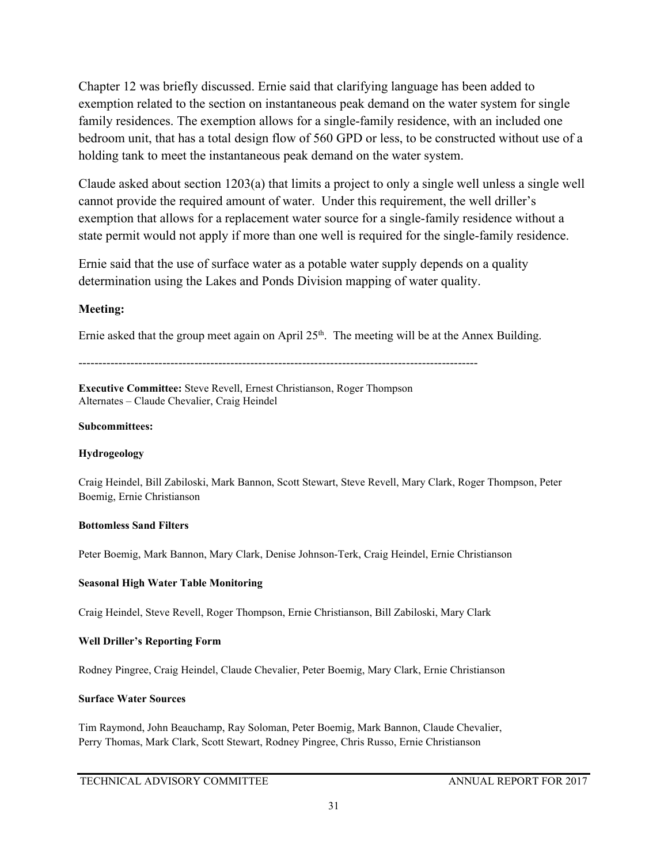Chapter 12 was briefly discussed. Ernie said that clarifying language has been added to exemption related to the section on instantaneous peak demand on the water system for single family residences. The exemption allows for a single-family residence, with an included one bedroom unit, that has a total design flow of 560 GPD or less, to be constructed without use of a holding tank to meet the instantaneous peak demand on the water system.

Claude asked about section 1203(a) that limits a project to only a single well unless a single well cannot provide the required amount of water. Under this requirement, the well driller's exemption that allows for a replacement water source for a single-family residence without a state permit would not apply if more than one well is required for the single-family residence.

Ernie said that the use of surface water as a potable water supply depends on a quality determination using the Lakes and Ponds Division mapping of water quality.

#### **Meeting:**

Ernie asked that the group meet again on April  $25<sup>th</sup>$ . The meeting will be at the Annex Building.

----------------------------------------------------------------------------------------------------

**Executive Committee:** Steve Revell, Ernest Christianson, Roger Thompson Alternates – Claude Chevalier, Craig Heindel

#### **Subcommittees:**

#### **Hydrogeology**

Craig Heindel, Bill Zabiloski, Mark Bannon, Scott Stewart, Steve Revell, Mary Clark, Roger Thompson, Peter Boemig, Ernie Christianson

#### **Bottomless Sand Filters**

Peter Boemig, Mark Bannon, Mary Clark, Denise Johnson-Terk, Craig Heindel, Ernie Christianson

#### **Seasonal High Water Table Monitoring**

Craig Heindel, Steve Revell, Roger Thompson, Ernie Christianson, Bill Zabiloski, Mary Clark

#### **Well Driller's Reporting Form**

Rodney Pingree, Craig Heindel, Claude Chevalier, Peter Boemig, Mary Clark, Ernie Christianson

#### **Surface Water Sources**

Tim Raymond, John Beauchamp, Ray Soloman, Peter Boemig, Mark Bannon, Claude Chevalier, Perry Thomas, Mark Clark, Scott Stewart, Rodney Pingree, Chris Russo, Ernie Christianson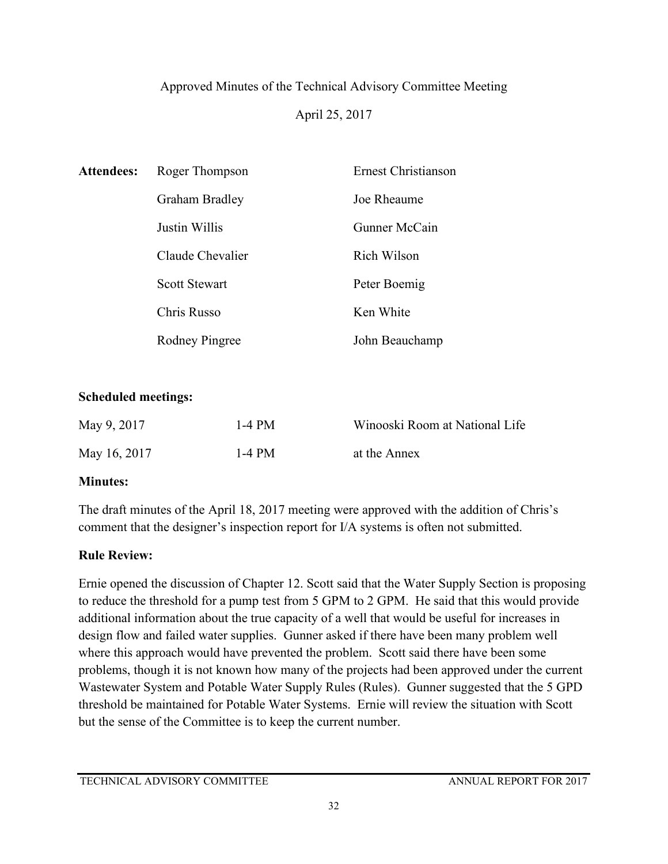# Approved Minutes of the Technical Advisory Committee Meeting April 25, 2017

| <b>Attendees:</b> | Roger Thompson       | Ernest Christianson |
|-------------------|----------------------|---------------------|
|                   | Graham Bradley       | Joe Rheaume         |
|                   | Justin Willis        | Gunner McCain       |
|                   | Claude Chevalier     | Rich Wilson         |
|                   | <b>Scott Stewart</b> | Peter Boemig        |
|                   | Chris Russo          | Ken White           |
|                   | Rodney Pingree       | John Beauchamp      |

## **Scheduled meetings:**

| May 9, 2017  | $1-4$ PM | Winooski Room at National Life |
|--------------|----------|--------------------------------|
| May 16, 2017 | 1-4 PM   | at the Annex                   |

## **Minutes:**

The draft minutes of the April 18, 2017 meeting were approved with the addition of Chris's comment that the designer's inspection report for I/A systems is often not submitted.

## **Rule Review:**

Ernie opened the discussion of Chapter 12. Scott said that the Water Supply Section is proposing to reduce the threshold for a pump test from 5 GPM to 2 GPM. He said that this would provide additional information about the true capacity of a well that would be useful for increases in design flow and failed water supplies. Gunner asked if there have been many problem well where this approach would have prevented the problem. Scott said there have been some problems, though it is not known how many of the projects had been approved under the current Wastewater System and Potable Water Supply Rules (Rules). Gunner suggested that the 5 GPD threshold be maintained for Potable Water Systems. Ernie will review the situation with Scott but the sense of the Committee is to keep the current number.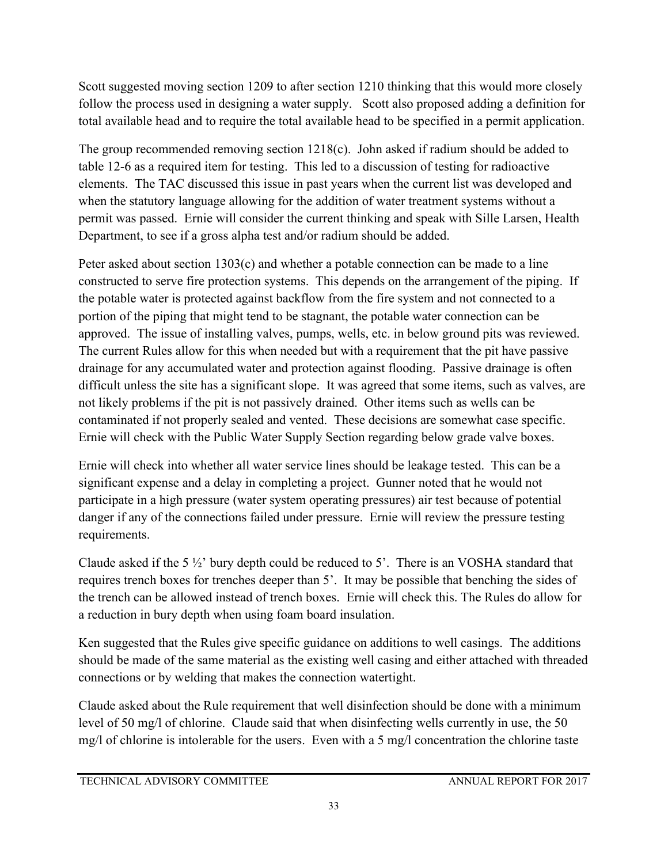Scott suggested moving section 1209 to after section 1210 thinking that this would more closely follow the process used in designing a water supply. Scott also proposed adding a definition for total available head and to require the total available head to be specified in a permit application.

The group recommended removing section 1218(c). John asked if radium should be added to table 12-6 as a required item for testing. This led to a discussion of testing for radioactive elements. The TAC discussed this issue in past years when the current list was developed and when the statutory language allowing for the addition of water treatment systems without a permit was passed. Ernie will consider the current thinking and speak with Sille Larsen, Health Department, to see if a gross alpha test and/or radium should be added.

Peter asked about section 1303(c) and whether a potable connection can be made to a line constructed to serve fire protection systems. This depends on the arrangement of the piping. If the potable water is protected against backflow from the fire system and not connected to a portion of the piping that might tend to be stagnant, the potable water connection can be approved. The issue of installing valves, pumps, wells, etc. in below ground pits was reviewed. The current Rules allow for this when needed but with a requirement that the pit have passive drainage for any accumulated water and protection against flooding. Passive drainage is often difficult unless the site has a significant slope. It was agreed that some items, such as valves, are not likely problems if the pit is not passively drained. Other items such as wells can be contaminated if not properly sealed and vented. These decisions are somewhat case specific. Ernie will check with the Public Water Supply Section regarding below grade valve boxes.

Ernie will check into whether all water service lines should be leakage tested. This can be a significant expense and a delay in completing a project. Gunner noted that he would not participate in a high pressure (water system operating pressures) air test because of potential danger if any of the connections failed under pressure. Ernie will review the pressure testing requirements.

Claude asked if the 5  $\frac{1}{2}$  bury depth could be reduced to 5'. There is an VOSHA standard that requires trench boxes for trenches deeper than 5'. It may be possible that benching the sides of the trench can be allowed instead of trench boxes. Ernie will check this. The Rules do allow for a reduction in bury depth when using foam board insulation.

Ken suggested that the Rules give specific guidance on additions to well casings. The additions should be made of the same material as the existing well casing and either attached with threaded connections or by welding that makes the connection watertight.

Claude asked about the Rule requirement that well disinfection should be done with a minimum level of 50 mg/l of chlorine. Claude said that when disinfecting wells currently in use, the 50 mg/l of chlorine is intolerable for the users. Even with a 5 mg/l concentration the chlorine taste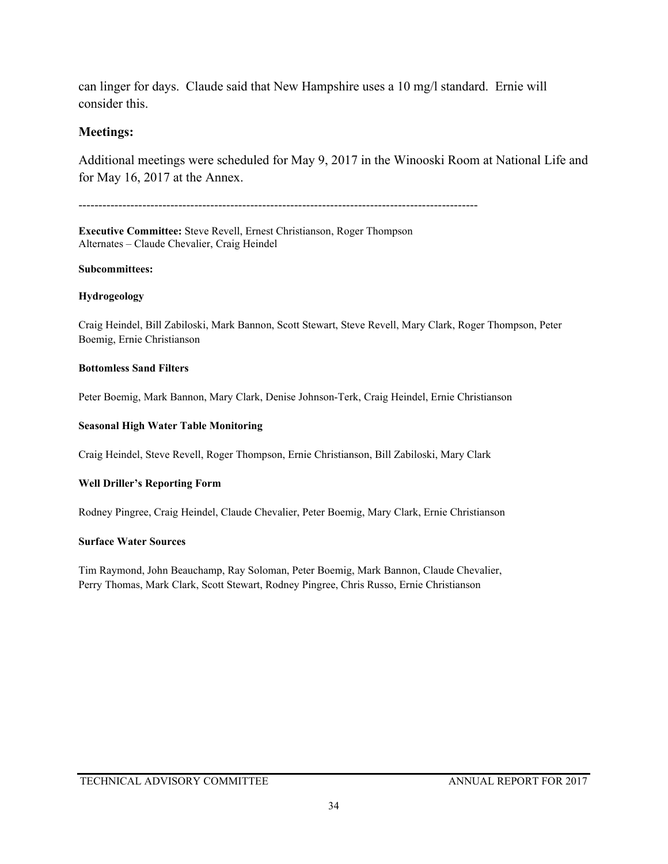can linger for days. Claude said that New Hampshire uses a 10 mg/l standard. Ernie will consider this.

### **Meetings:**

Additional meetings were scheduled for May 9, 2017 in the Winooski Room at National Life and for May 16, 2017 at the Annex.

----------------------------------------------------------------------------------------------------

**Executive Committee:** Steve Revell, Ernest Christianson, Roger Thompson Alternates – Claude Chevalier, Craig Heindel

#### **Subcommittees:**

#### **Hydrogeology**

Craig Heindel, Bill Zabiloski, Mark Bannon, Scott Stewart, Steve Revell, Mary Clark, Roger Thompson, Peter Boemig, Ernie Christianson

#### **Bottomless Sand Filters**

Peter Boemig, Mark Bannon, Mary Clark, Denise Johnson-Terk, Craig Heindel, Ernie Christianson

#### **Seasonal High Water Table Monitoring**

Craig Heindel, Steve Revell, Roger Thompson, Ernie Christianson, Bill Zabiloski, Mary Clark

#### **Well Driller's Reporting Form**

Rodney Pingree, Craig Heindel, Claude Chevalier, Peter Boemig, Mary Clark, Ernie Christianson

#### **Surface Water Sources**

Tim Raymond, John Beauchamp, Ray Soloman, Peter Boemig, Mark Bannon, Claude Chevalier, Perry Thomas, Mark Clark, Scott Stewart, Rodney Pingree, Chris Russo, Ernie Christianson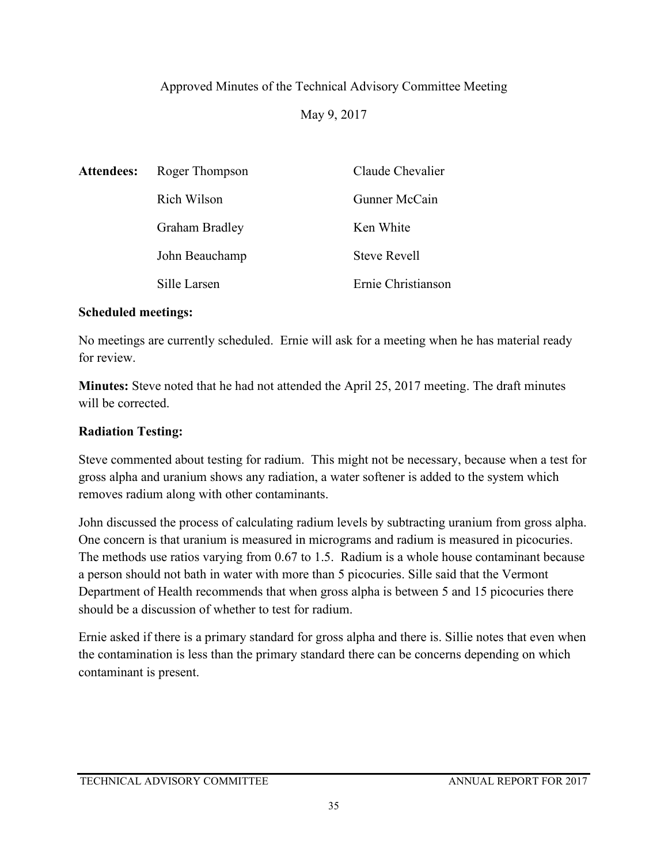## Approved Minutes of the Technical Advisory Committee Meeting

May 9, 2017

| <b>Attendees:</b> | Roger Thompson        | Claude Chevalier    |
|-------------------|-----------------------|---------------------|
|                   | Rich Wilson           | Gunner McCain       |
|                   | <b>Graham Bradley</b> | Ken White           |
|                   | John Beauchamp        | <b>Steve Revell</b> |
|                   | Sille Larsen          | Ernie Christianson  |

### **Scheduled meetings:**

No meetings are currently scheduled. Ernie will ask for a meeting when he has material ready for review.

**Minutes:** Steve noted that he had not attended the April 25, 2017 meeting. The draft minutes will be corrected.

## **Radiation Testing:**

Steve commented about testing for radium. This might not be necessary, because when a test for gross alpha and uranium shows any radiation, a water softener is added to the system which removes radium along with other contaminants.

John discussed the process of calculating radium levels by subtracting uranium from gross alpha. One concern is that uranium is measured in micrograms and radium is measured in picocuries. The methods use ratios varying from 0.67 to 1.5. Radium is a whole house contaminant because a person should not bath in water with more than 5 picocuries. Sille said that the Vermont Department of Health recommends that when gross alpha is between 5 and 15 picocuries there should be a discussion of whether to test for radium.

Ernie asked if there is a primary standard for gross alpha and there is. Sillie notes that even when the contamination is less than the primary standard there can be concerns depending on which contaminant is present.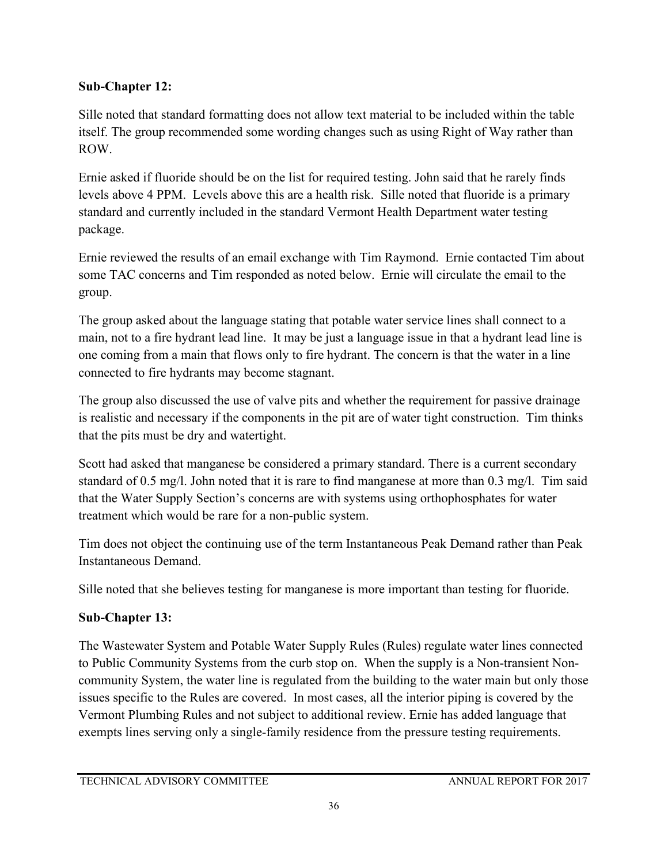## **Sub-Chapter 12:**

Sille noted that standard formatting does not allow text material to be included within the table itself. The group recommended some wording changes such as using Right of Way rather than ROW.

Ernie asked if fluoride should be on the list for required testing. John said that he rarely finds levels above 4 PPM. Levels above this are a health risk. Sille noted that fluoride is a primary standard and currently included in the standard Vermont Health Department water testing package.

Ernie reviewed the results of an email exchange with Tim Raymond. Ernie contacted Tim about some TAC concerns and Tim responded as noted below. Ernie will circulate the email to the group.

The group asked about the language stating that potable water service lines shall connect to a main, not to a fire hydrant lead line. It may be just a language issue in that a hydrant lead line is one coming from a main that flows only to fire hydrant. The concern is that the water in a line connected to fire hydrants may become stagnant.

The group also discussed the use of valve pits and whether the requirement for passive drainage is realistic and necessary if the components in the pit are of water tight construction. Tim thinks that the pits must be dry and watertight.

Scott had asked that manganese be considered a primary standard. There is a current secondary standard of 0.5 mg/l. John noted that it is rare to find manganese at more than 0.3 mg/l. Tim said that the Water Supply Section's concerns are with systems using orthophosphates for water treatment which would be rare for a non-public system.

Tim does not object the continuing use of the term Instantaneous Peak Demand rather than Peak Instantaneous Demand.

Sille noted that she believes testing for manganese is more important than testing for fluoride.

## **Sub-Chapter 13:**

The Wastewater System and Potable Water Supply Rules (Rules) regulate water lines connected to Public Community Systems from the curb stop on. When the supply is a Non-transient Noncommunity System, the water line is regulated from the building to the water main but only those issues specific to the Rules are covered. In most cases, all the interior piping is covered by the Vermont Plumbing Rules and not subject to additional review. Ernie has added language that exempts lines serving only a single-family residence from the pressure testing requirements.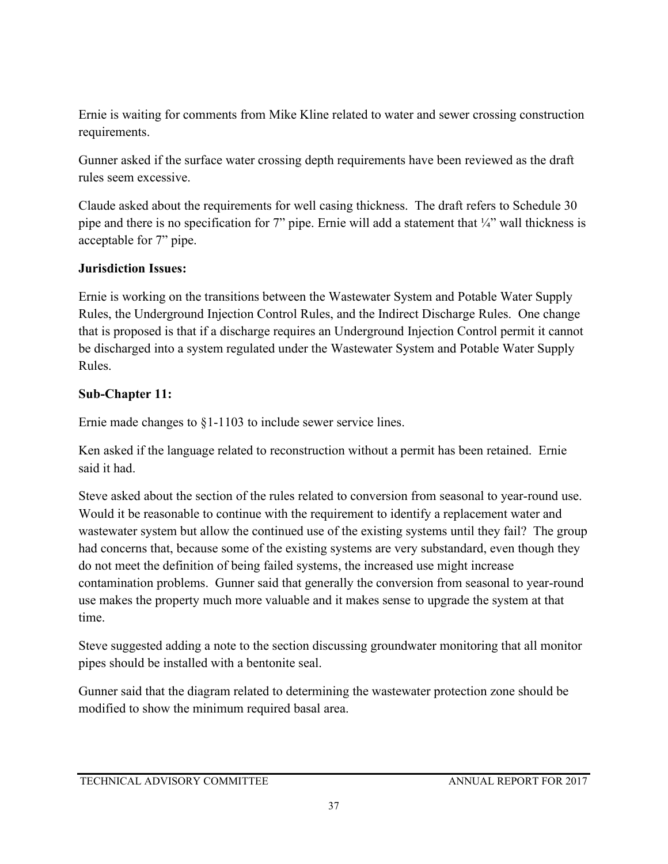Ernie is waiting for comments from Mike Kline related to water and sewer crossing construction requirements.

Gunner asked if the surface water crossing depth requirements have been reviewed as the draft rules seem excessive.

Claude asked about the requirements for well casing thickness. The draft refers to Schedule 30 pipe and there is no specification for 7" pipe. Ernie will add a statement that ¼" wall thickness is acceptable for 7" pipe.

## **Jurisdiction Issues:**

Ernie is working on the transitions between the Wastewater System and Potable Water Supply Rules, the Underground Injection Control Rules, and the Indirect Discharge Rules. One change that is proposed is that if a discharge requires an Underground Injection Control permit it cannot be discharged into a system regulated under the Wastewater System and Potable Water Supply Rules.

## **Sub-Chapter 11:**

Ernie made changes to §1-1103 to include sewer service lines.

Ken asked if the language related to reconstruction without a permit has been retained. Ernie said it had.

Steve asked about the section of the rules related to conversion from seasonal to year-round use. Would it be reasonable to continue with the requirement to identify a replacement water and wastewater system but allow the continued use of the existing systems until they fail? The group had concerns that, because some of the existing systems are very substandard, even though they do not meet the definition of being failed systems, the increased use might increase contamination problems. Gunner said that generally the conversion from seasonal to year-round use makes the property much more valuable and it makes sense to upgrade the system at that time.

Steve suggested adding a note to the section discussing groundwater monitoring that all monitor pipes should be installed with a bentonite seal.

Gunner said that the diagram related to determining the wastewater protection zone should be modified to show the minimum required basal area.